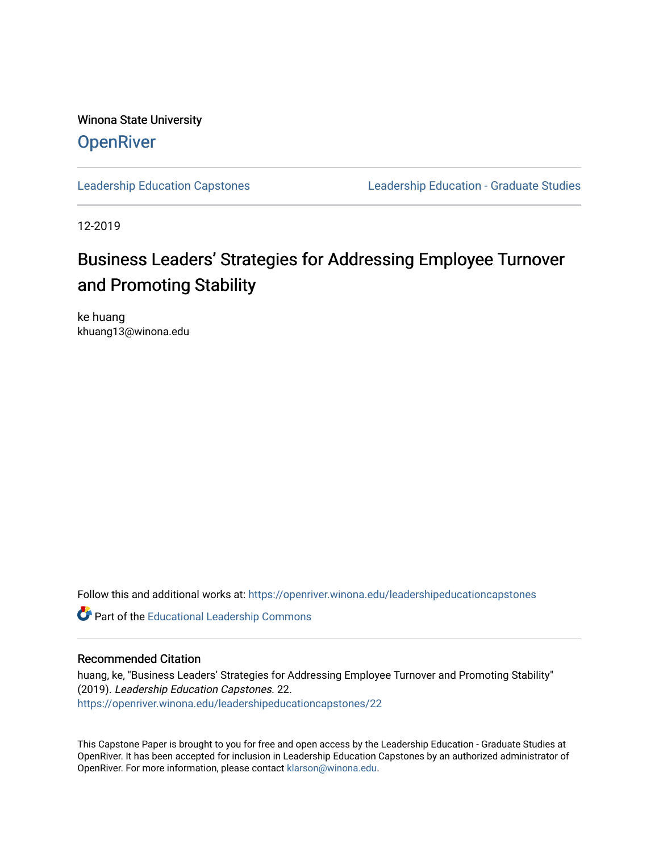Winona State University **OpenRiver** 

[Leadership Education Capstones](https://openriver.winona.edu/leadershipeducationcapstones) [Leadership Education - Graduate Studies](https://openriver.winona.edu/leadershipeducation) 

12-2019

# Business Leaders' Strategies for Addressing Employee Turnover and Promoting Stability

ke huang khuang13@winona.edu

Follow this and additional works at: [https://openriver.winona.edu/leadershipeducationcapstones](https://openriver.winona.edu/leadershipeducationcapstones?utm_source=openriver.winona.edu%2Fleadershipeducationcapstones%2F22&utm_medium=PDF&utm_campaign=PDFCoverPages) 

Part of the [Educational Leadership Commons](http://network.bepress.com/hgg/discipline/1230?utm_source=openriver.winona.edu%2Fleadershipeducationcapstones%2F22&utm_medium=PDF&utm_campaign=PDFCoverPages) 

# Recommended Citation

huang, ke, "Business Leaders' Strategies for Addressing Employee Turnover and Promoting Stability" (2019). Leadership Education Capstones. 22. [https://openriver.winona.edu/leadershipeducationcapstones/22](https://openriver.winona.edu/leadershipeducationcapstones/22?utm_source=openriver.winona.edu%2Fleadershipeducationcapstones%2F22&utm_medium=PDF&utm_campaign=PDFCoverPages) 

This Capstone Paper is brought to you for free and open access by the Leadership Education - Graduate Studies at OpenRiver. It has been accepted for inclusion in Leadership Education Capstones by an authorized administrator of OpenRiver. For more information, please contact [klarson@winona.edu](mailto:klarson@winona.edu).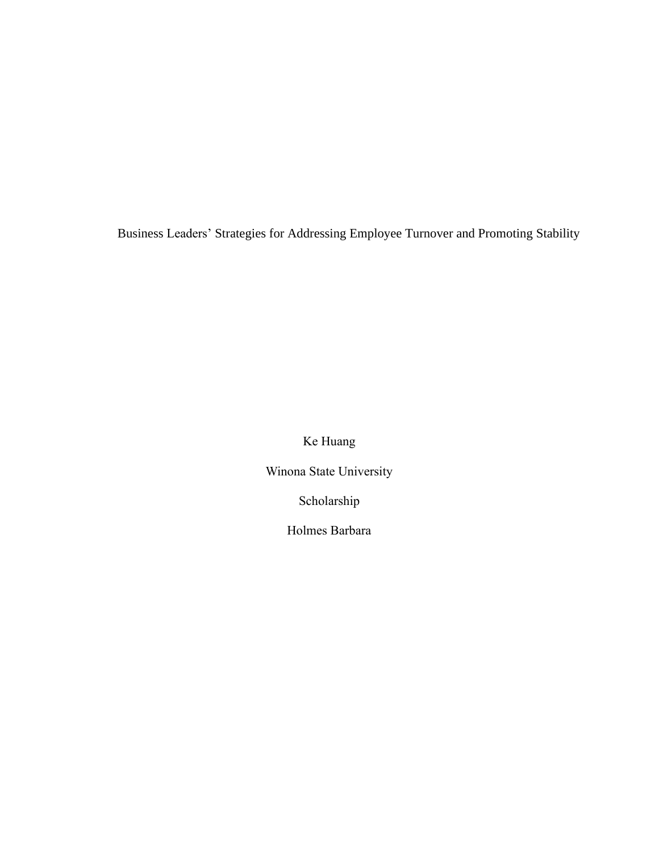Business Leaders' Strategies for Addressing Employee Turnover and Promoting Stability

Ke Huang

Winona State University

Scholarship

Holmes Barbara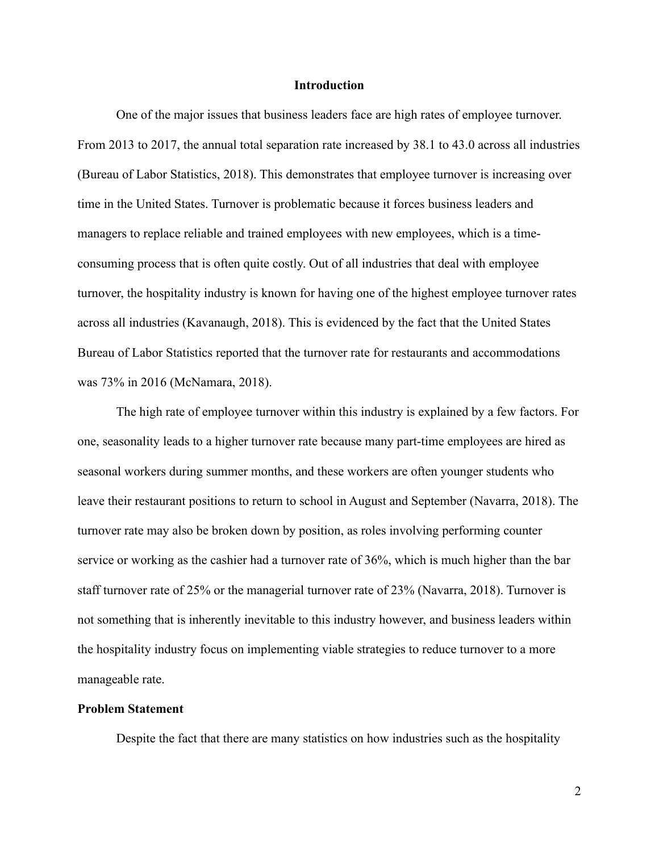### **Introduction**

One of the major issues that business leaders face are high rates of employee turnover. From 2013 to 2017, the annual total separation rate increased by 38.1 to 43.0 across all industries (Bureau of Labor Statistics, 2018). This demonstrates that employee turnover is increasing over time in the United States. Turnover is problematic because it forces business leaders and managers to replace reliable and trained employees with new employees, which is a timeconsuming process that is often quite costly. Out of all industries that deal with employee turnover, the hospitality industry is known for having one of the highest employee turnover rates across all industries (Kavanaugh, 2018). This is evidenced by the fact that the United States Bureau of Labor Statistics reported that the turnover rate for restaurants and accommodations was 73% in 2016 (McNamara, 2018).

The high rate of employee turnover within this industry is explained by a few factors. For one, seasonality leads to a higher turnover rate because many part-time employees are hired as seasonal workers during summer months, and these workers are often younger students who leave their restaurant positions to return to school in August and September (Navarra, 2018). The turnover rate may also be broken down by position, as roles involving performing counter service or working as the cashier had a turnover rate of 36%, which is much higher than the bar staff turnover rate of 25% or the managerial turnover rate of 23% (Navarra, 2018). Turnover is not something that is inherently inevitable to this industry however, and business leaders within the hospitality industry focus on implementing viable strategies to reduce turnover to a more manageable rate.

# **Problem Statement**

Despite the fact that there are many statistics on how industries such as the hospitality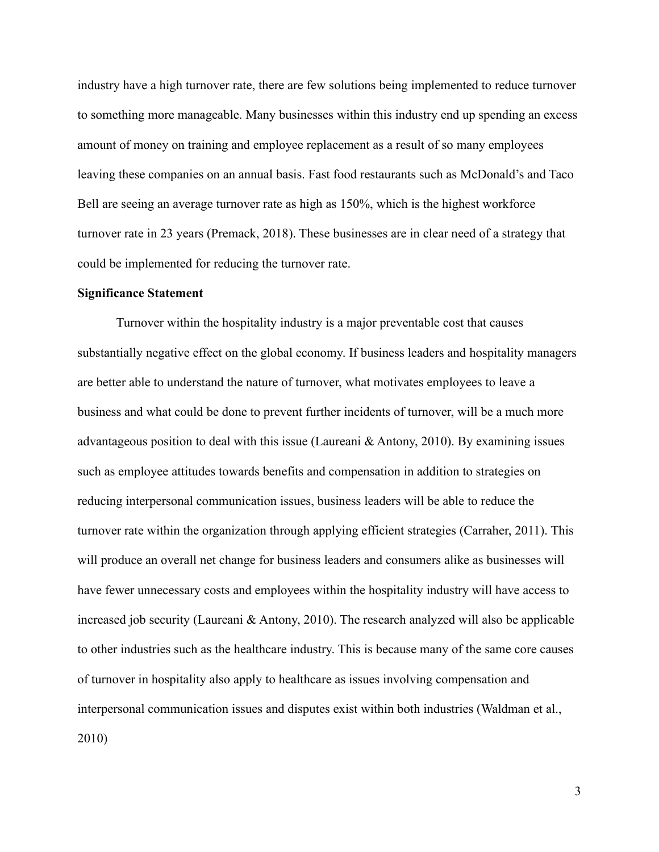industry have a high turnover rate, there are few solutions being implemented to reduce turnover to something more manageable. Many businesses within this industry end up spending an excess amount of money on training and employee replacement as a result of so many employees leaving these companies on an annual basis. Fast food restaurants such as McDonald's and Taco Bell are seeing an average turnover rate as high as 150%, which is the highest workforce turnover rate in 23 years (Premack, 2018). These businesses are in clear need of a strategy that could be implemented for reducing the turnover rate.

#### **Significance Statement**

Turnover within the hospitality industry is a major preventable cost that causes substantially negative effect on the global economy. If business leaders and hospitality managers are better able to understand the nature of turnover, what motivates employees to leave a business and what could be done to prevent further incidents of turnover, will be a much more advantageous position to deal with this issue (Laureani & Antony, 2010). By examining issues such as employee attitudes towards benefits and compensation in addition to strategies on reducing interpersonal communication issues, business leaders will be able to reduce the turnover rate within the organization through applying efficient strategies (Carraher, 2011). This will produce an overall net change for business leaders and consumers alike as businesses will have fewer unnecessary costs and employees within the hospitality industry will have access to increased job security (Laureani & Antony, 2010). The research analyzed will also be applicable to other industries such as the healthcare industry. This is because many of the same core causes of turnover in hospitality also apply to healthcare as issues involving compensation and interpersonal communication issues and disputes exist within both industries (Waldman et al., 2010)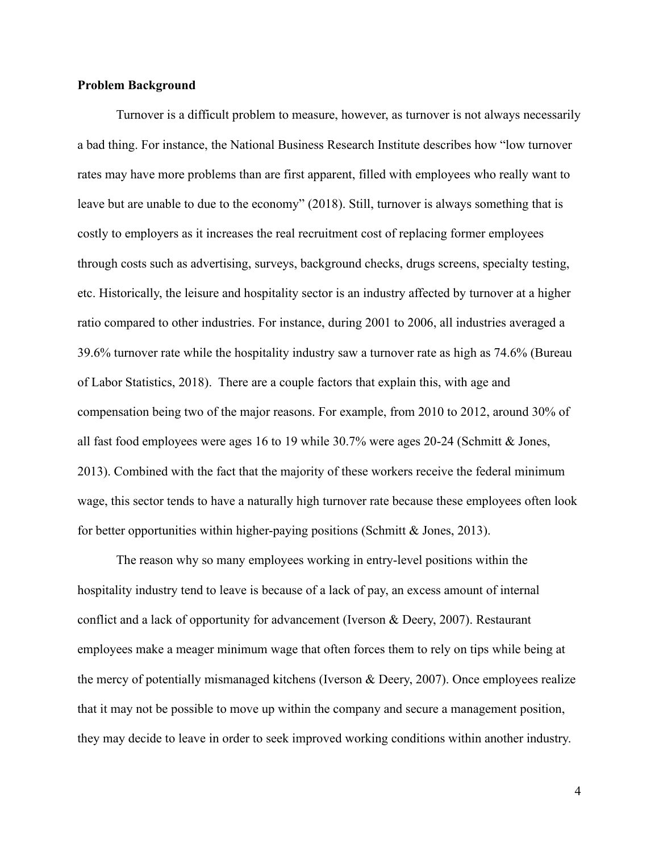# **Problem Background**

Turnover is a difficult problem to measure, however, as turnover is not always necessarily a bad thing. For instance, the National Business Research Institute describes how "low turnover rates may have more problems than are first apparent, filled with employees who really want to leave but are unable to due to the economy" (2018). Still, turnover is always something that is costly to employers as it increases the real recruitment cost of replacing former employees through costs such as advertising, surveys, background checks, drugs screens, specialty testing, etc. Historically, the leisure and hospitality sector is an industry affected by turnover at a higher ratio compared to other industries. For instance, during 2001 to 2006, all industries averaged a 39.6% turnover rate while the hospitality industry saw a turnover rate as high as 74.6% (Bureau of Labor Statistics, 2018). There are a couple factors that explain this, with age and compensation being two of the major reasons. For example, from 2010 to 2012, around 30% of all fast food employees were ages 16 to 19 while 30.7% were ages 20-24 (Schmitt & Jones, 2013). Combined with the fact that the majority of these workers receive the federal minimum wage, this sector tends to have a naturally high turnover rate because these employees often look for better opportunities within higher-paying positions (Schmitt  $\&$  Jones, 2013).

The reason why so many employees working in entry-level positions within the hospitality industry tend to leave is because of a lack of pay, an excess amount of internal conflict and a lack of opportunity for advancement (Iverson & Deery, 2007). Restaurant employees make a meager minimum wage that often forces them to rely on tips while being at the mercy of potentially mismanaged kitchens (Iverson & Deery, 2007). Once employees realize that it may not be possible to move up within the company and secure a management position, they may decide to leave in order to seek improved working conditions within another industry.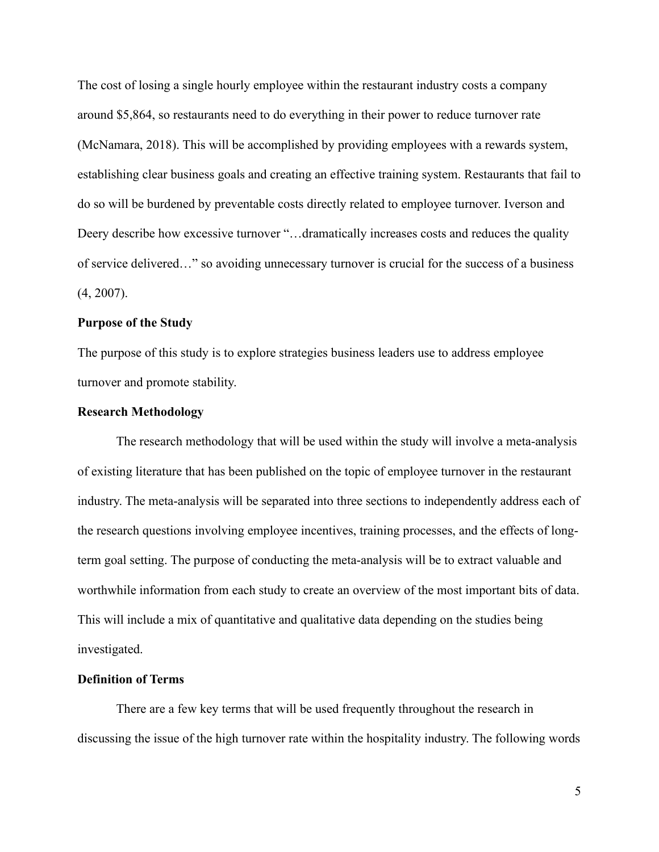The cost of losing a single hourly employee within the restaurant industry costs a company around \$5,864, so restaurants need to do everything in their power to reduce turnover rate (McNamara, 2018). This will be accomplished by providing employees with a rewards system, establishing clear business goals and creating an effective training system. Restaurants that fail to do so will be burdened by preventable costs directly related to employee turnover. Iverson and Deery describe how excessive turnover "...dramatically increases costs and reduces the quality of service delivered…" so avoiding unnecessary turnover is crucial for the success of a business (4, 2007).

# **Purpose of the Study**

The purpose of this study is to explore strategies business leaders use to address employee turnover and promote stability.

# **Research Methodology**

The research methodology that will be used within the study will involve a meta-analysis of existing literature that has been published on the topic of employee turnover in the restaurant industry. The meta-analysis will be separated into three sections to independently address each of the research questions involving employee incentives, training processes, and the effects of longterm goal setting. The purpose of conducting the meta-analysis will be to extract valuable and worthwhile information from each study to create an overview of the most important bits of data. This will include a mix of quantitative and qualitative data depending on the studies being investigated.

## **Definition of Terms**

There are a few key terms that will be used frequently throughout the research in discussing the issue of the high turnover rate within the hospitality industry. The following words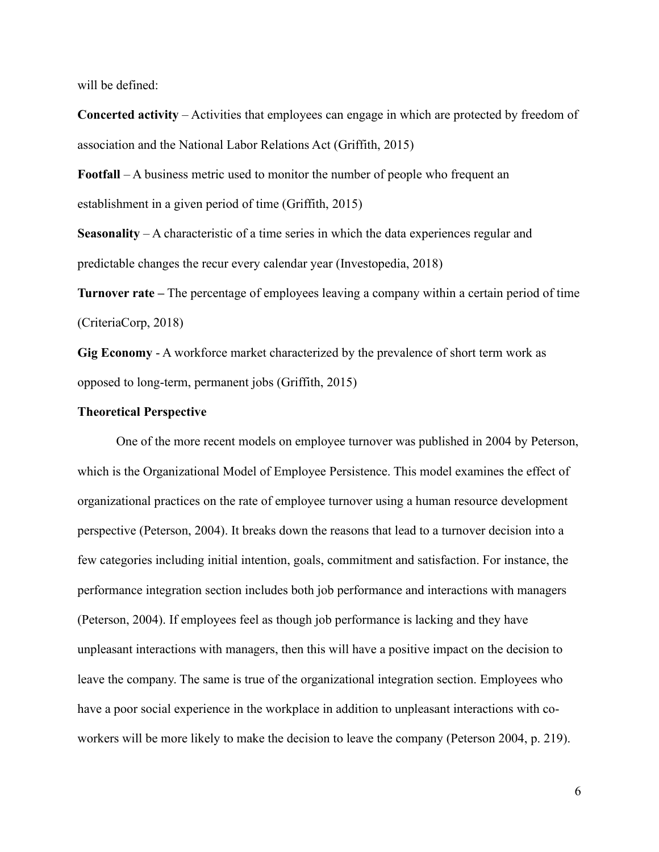will be defined:

**Concerted activity** – Activities that employees can engage in which are protected by freedom of association and the National Labor Relations Act (Griffith, 2015)

**Footfall** – A business metric used to monitor the number of people who frequent an establishment in a given period of time (Griffith, 2015)

**Seasonality** – A characteristic of a time series in which the data experiences regular and predictable changes the recur every calendar year (Investopedia, 2018)

**Turnover rate –** The percentage of employees leaving a company within a certain period of time (CriteriaCorp, 2018)

**Gig Economy** - A workforce market characterized by the prevalence of short term work as opposed to long-term, permanent jobs (Griffith, 2015)

#### **Theoretical Perspective**

One of the more recent models on employee turnover was published in 2004 by Peterson, which is the Organizational Model of Employee Persistence. This model examines the effect of organizational practices on the rate of employee turnover using a human resource development perspective (Peterson, 2004). It breaks down the reasons that lead to a turnover decision into a few categories including initial intention, goals, commitment and satisfaction. For instance, the performance integration section includes both job performance and interactions with managers (Peterson, 2004). If employees feel as though job performance is lacking and they have unpleasant interactions with managers, then this will have a positive impact on the decision to leave the company. The same is true of the organizational integration section. Employees who have a poor social experience in the workplace in addition to unpleasant interactions with coworkers will be more likely to make the decision to leave the company (Peterson 2004, p. 219).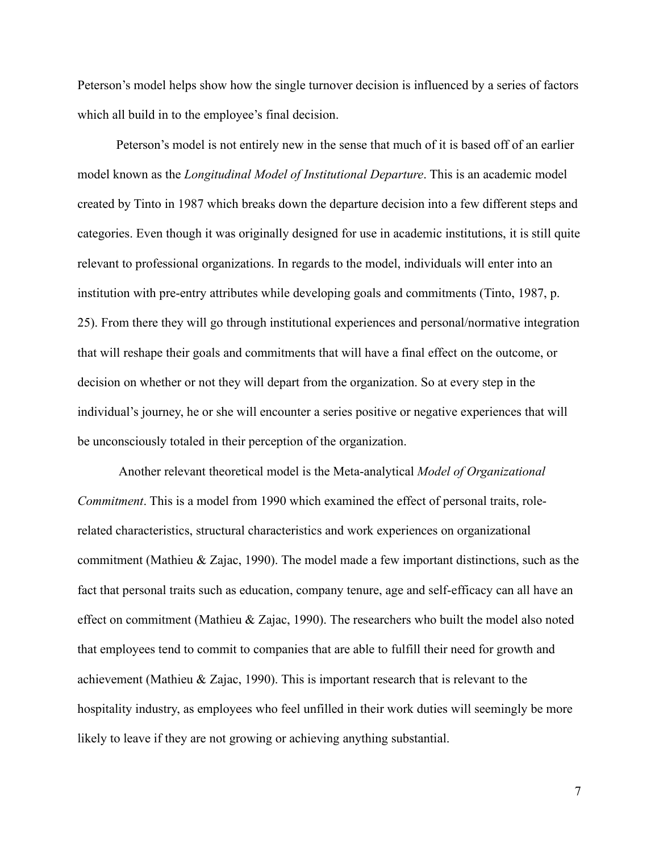Peterson's model helps show how the single turnover decision is influenced by a series of factors which all build in to the employee's final decision.

Peterson's model is not entirely new in the sense that much of it is based off of an earlier model known as the *Longitudinal Model of Institutional Departure*. This is an academic model created by Tinto in 1987 which breaks down the departure decision into a few different steps and categories. Even though it was originally designed for use in academic institutions, it is still quite relevant to professional organizations. In regards to the model, individuals will enter into an institution with pre-entry attributes while developing goals and commitments (Tinto, 1987, p. 25). From there they will go through institutional experiences and personal/normative integration that will reshape their goals and commitments that will have a final effect on the outcome, or decision on whether or not they will depart from the organization. So at every step in the individual's journey, he or she will encounter a series positive or negative experiences that will be unconsciously totaled in their perception of the organization.

Another relevant theoretical model is the Meta-analytical *Model of Organizational Commitment*. This is a model from 1990 which examined the effect of personal traits, rolerelated characteristics, structural characteristics and work experiences on organizational commitment (Mathieu & Zajac, 1990). The model made a few important distinctions, such as the fact that personal traits such as education, company tenure, age and self-efficacy can all have an effect on commitment (Mathieu & Zajac, 1990). The researchers who built the model also noted that employees tend to commit to companies that are able to fulfill their need for growth and achievement (Mathieu & Zajac, 1990). This is important research that is relevant to the hospitality industry, as employees who feel unfilled in their work duties will seemingly be more likely to leave if they are not growing or achieving anything substantial.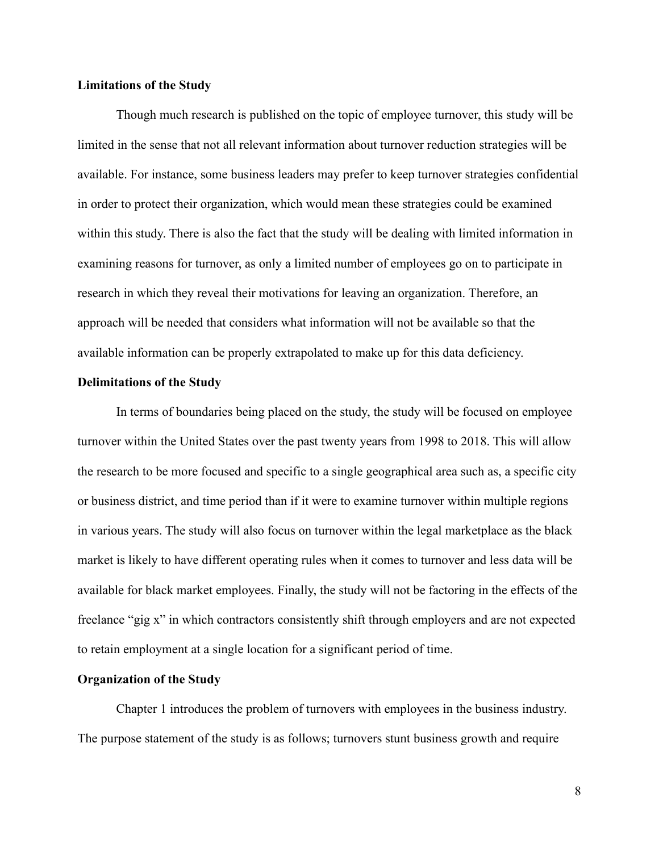# **Limitations of the Study**

Though much research is published on the topic of employee turnover, this study will be limited in the sense that not all relevant information about turnover reduction strategies will be available. For instance, some business leaders may prefer to keep turnover strategies confidential in order to protect their organization, which would mean these strategies could be examined within this study. There is also the fact that the study will be dealing with limited information in examining reasons for turnover, as only a limited number of employees go on to participate in research in which they reveal their motivations for leaving an organization. Therefore, an approach will be needed that considers what information will not be available so that the available information can be properly extrapolated to make up for this data deficiency.

#### **Delimitations of the Study**

In terms of boundaries being placed on the study, the study will be focused on employee turnover within the United States over the past twenty years from 1998 to 2018. This will allow the research to be more focused and specific to a single geographical area such as, a specific city or business district, and time period than if it were to examine turnover within multiple regions in various years. The study will also focus on turnover within the legal marketplace as the black market is likely to have different operating rules when it comes to turnover and less data will be available for black market employees. Finally, the study will not be factoring in the effects of the freelance "gig x" in which contractors consistently shift through employers and are not expected to retain employment at a single location for a significant period of time.

## **Organization of the Study**

Chapter 1 introduces the problem of turnovers with employees in the business industry. The purpose statement of the study is as follows; turnovers stunt business growth and require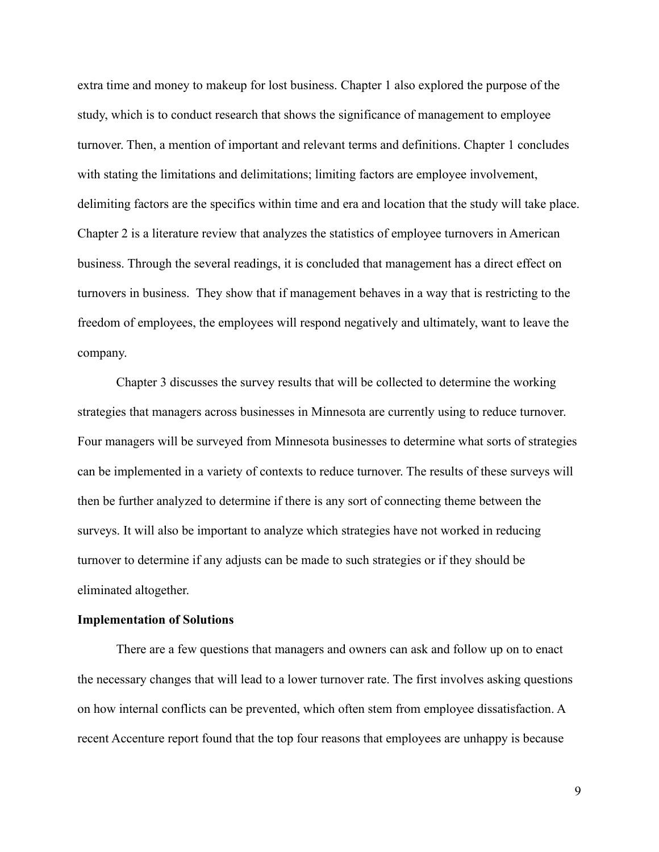extra time and money to makeup for lost business. Chapter 1 also explored the purpose of the study, which is to conduct research that shows the significance of management to employee turnover. Then, a mention of important and relevant terms and definitions. Chapter 1 concludes with stating the limitations and delimitations; limiting factors are employee involvement, delimiting factors are the specifics within time and era and location that the study will take place. Chapter 2 is a literature review that analyzes the statistics of employee turnovers in American business. Through the several readings, it is concluded that management has a direct effect on turnovers in business. They show that if management behaves in a way that is restricting to the freedom of employees, the employees will respond negatively and ultimately, want to leave the company.

Chapter 3 discusses the survey results that will be collected to determine the working strategies that managers across businesses in Minnesota are currently using to reduce turnover. Four managers will be surveyed from Minnesota businesses to determine what sorts of strategies can be implemented in a variety of contexts to reduce turnover. The results of these surveys will then be further analyzed to determine if there is any sort of connecting theme between the surveys. It will also be important to analyze which strategies have not worked in reducing turnover to determine if any adjusts can be made to such strategies or if they should be eliminated altogether.

#### **Implementation of Solutions**

There are a few questions that managers and owners can ask and follow up on to enact the necessary changes that will lead to a lower turnover rate. The first involves asking questions on how internal conflicts can be prevented, which often stem from employee dissatisfaction. A recent Accenture report found that the top four reasons that employees are unhappy is because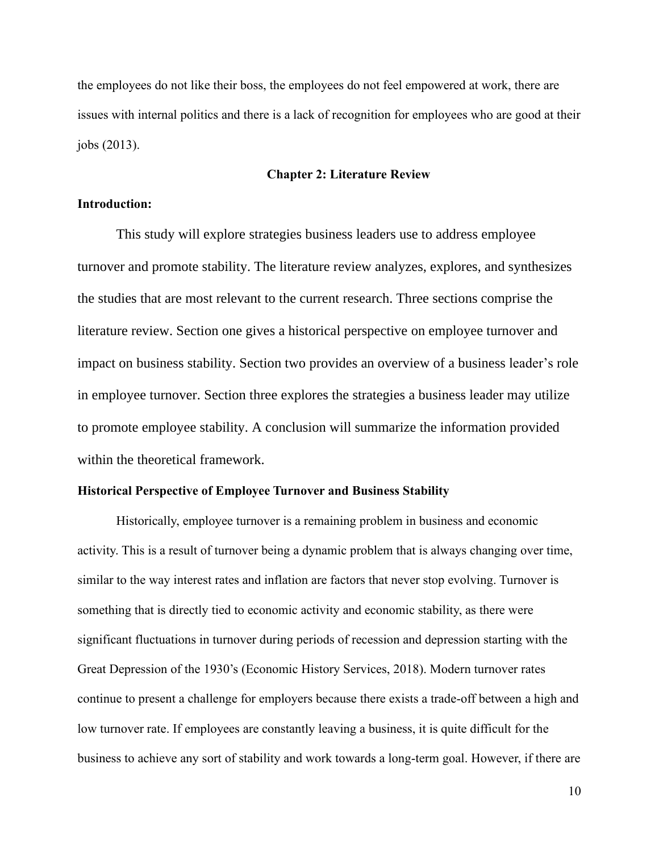the employees do not like their boss, the employees do not feel empowered at work, there are issues with internal politics and there is a lack of recognition for employees who are good at their jobs (2013).

# **Chapter 2: Literature Review**

## **Introduction:**

This study will explore strategies business leaders use to address employee turnover and promote stability. The literature review analyzes, explores, and synthesizes the studies that are most relevant to the current research. Three sections comprise the literature review. Section one gives a historical perspective on employee turnover and impact on business stability. Section two provides an overview of a business leader's role in employee turnover. Section three explores the strategies a business leader may utilize to promote employee stability. A conclusion will summarize the information provided within the theoretical framework.

## **Historical Perspective of Employee Turnover and Business Stability**

Historically, employee turnover is a remaining problem in business and economic activity. This is a result of turnover being a dynamic problem that is always changing over time, similar to the way interest rates and inflation are factors that never stop evolving. Turnover is something that is directly tied to economic activity and economic stability, as there were significant fluctuations in turnover during periods of recession and depression starting with the Great Depression of the 1930's (Economic History Services, 2018). Modern turnover rates continue to present a challenge for employers because there exists a trade-off between a high and low turnover rate. If employees are constantly leaving a business, it is quite difficult for the business to achieve any sort of stability and work towards a long-term goal. However, if there are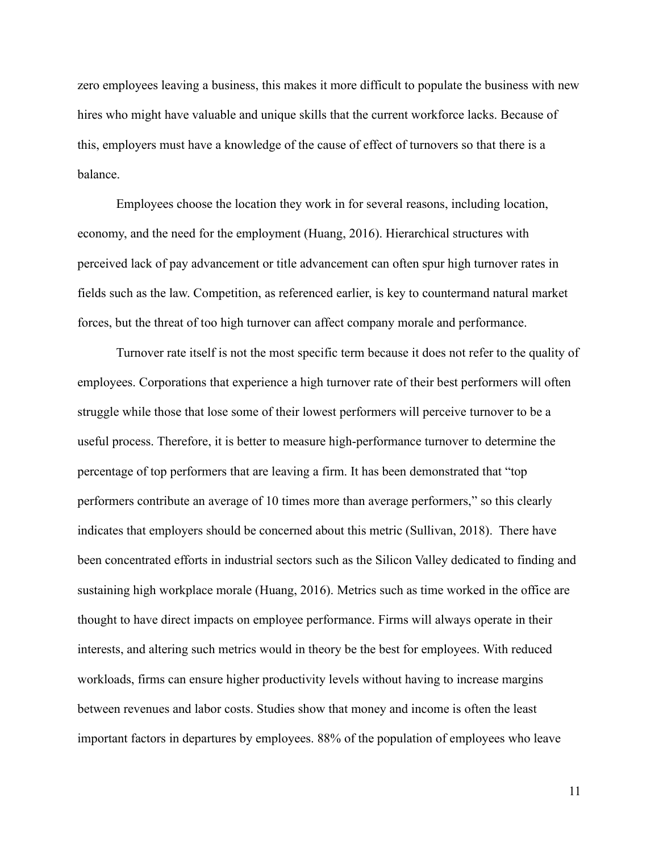zero employees leaving a business, this makes it more difficult to populate the business with new hires who might have valuable and unique skills that the current workforce lacks. Because of this, employers must have a knowledge of the cause of effect of turnovers so that there is a balance.

Employees choose the location they work in for several reasons, including location, economy, and the need for the employment (Huang, 2016). Hierarchical structures with perceived lack of pay advancement or title advancement can often spur high turnover rates in fields such as the law. Competition, as referenced earlier, is key to countermand natural market forces, but the threat of too high turnover can affect company morale and performance.

Turnover rate itself is not the most specific term because it does not refer to the quality of employees. Corporations that experience a high turnover rate of their best performers will often struggle while those that lose some of their lowest performers will perceive turnover to be a useful process. Therefore, it is better to measure high-performance turnover to determine the percentage of top performers that are leaving a firm. It has been demonstrated that "top performers contribute an average of 10 times more than average performers," so this clearly indicates that employers should be concerned about this metric (Sullivan, 2018). There have been concentrated efforts in industrial sectors such as the Silicon Valley dedicated to finding and sustaining high workplace morale (Huang, 2016). Metrics such as time worked in the office are thought to have direct impacts on employee performance. Firms will always operate in their interests, and altering such metrics would in theory be the best for employees. With reduced workloads, firms can ensure higher productivity levels without having to increase margins between revenues and labor costs. Studies show that money and income is often the least important factors in departures by employees. 88% of the population of employees who leave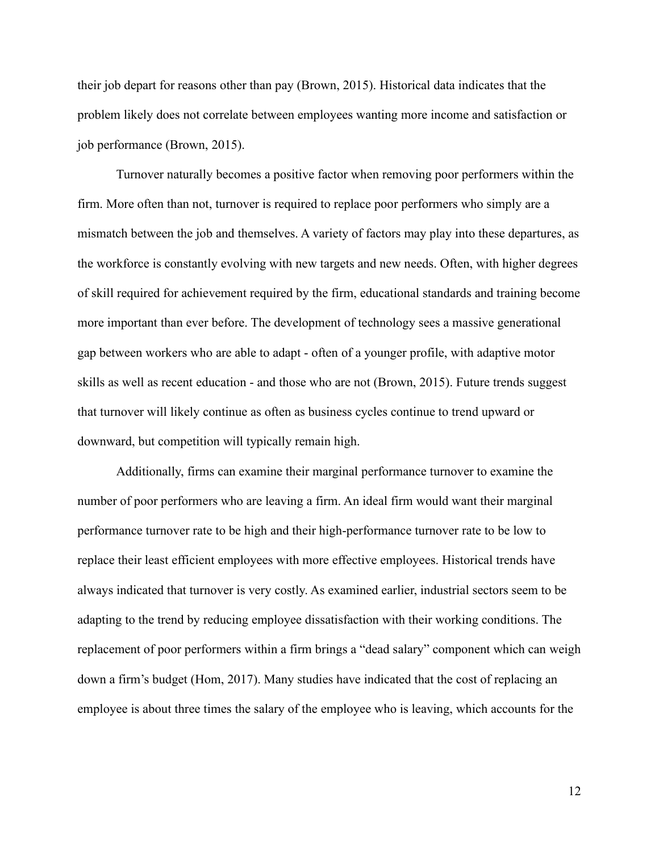their job depart for reasons other than pay (Brown, 2015). Historical data indicates that the problem likely does not correlate between employees wanting more income and satisfaction or job performance (Brown, 2015).

Turnover naturally becomes a positive factor when removing poor performers within the firm. More often than not, turnover is required to replace poor performers who simply are a mismatch between the job and themselves. A variety of factors may play into these departures, as the workforce is constantly evolving with new targets and new needs. Often, with higher degrees of skill required for achievement required by the firm, educational standards and training become more important than ever before. The development of technology sees a massive generational gap between workers who are able to adapt - often of a younger profile, with adaptive motor skills as well as recent education - and those who are not (Brown, 2015). Future trends suggest that turnover will likely continue as often as business cycles continue to trend upward or downward, but competition will typically remain high.

Additionally, firms can examine their marginal performance turnover to examine the number of poor performers who are leaving a firm. An ideal firm would want their marginal performance turnover rate to be high and their high-performance turnover rate to be low to replace their least efficient employees with more effective employees. Historical trends have always indicated that turnover is very costly. As examined earlier, industrial sectors seem to be adapting to the trend by reducing employee dissatisfaction with their working conditions. The replacement of poor performers within a firm brings a "dead salary" component which can weigh down a firm's budget (Hom, 2017). Many studies have indicated that the cost of replacing an employee is about three times the salary of the employee who is leaving, which accounts for the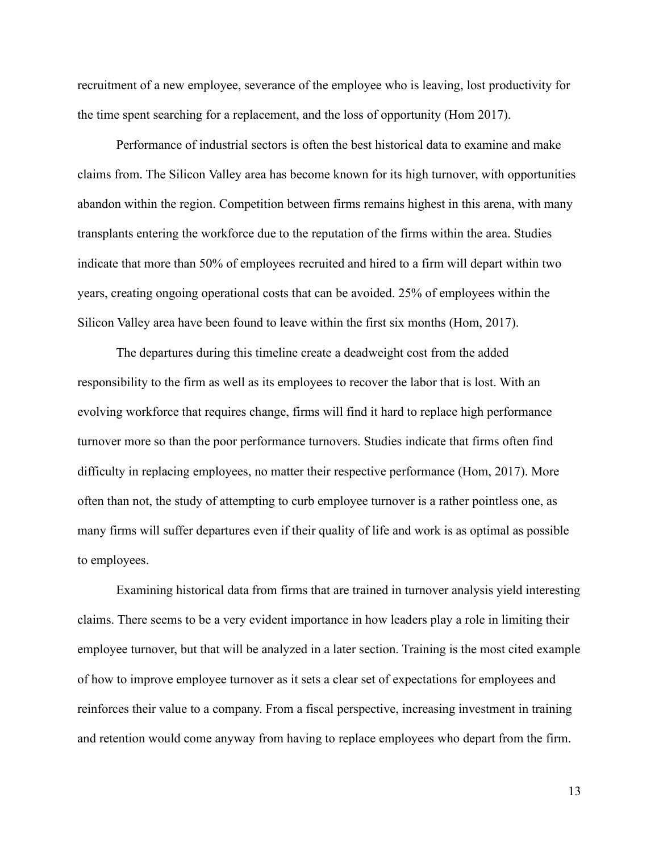recruitment of a new employee, severance of the employee who is leaving, lost productivity for the time spent searching for a replacement, and the loss of opportunity (Hom 2017).

Performance of industrial sectors is often the best historical data to examine and make claims from. The Silicon Valley area has become known for its high turnover, with opportunities abandon within the region. Competition between firms remains highest in this arena, with many transplants entering the workforce due to the reputation of the firms within the area. Studies indicate that more than 50% of employees recruited and hired to a firm will depart within two years, creating ongoing operational costs that can be avoided. 25% of employees within the Silicon Valley area have been found to leave within the first six months (Hom, 2017).

The departures during this timeline create a deadweight cost from the added responsibility to the firm as well as its employees to recover the labor that is lost. With an evolving workforce that requires change, firms will find it hard to replace high performance turnover more so than the poor performance turnovers. Studies indicate that firms often find difficulty in replacing employees, no matter their respective performance (Hom, 2017). More often than not, the study of attempting to curb employee turnover is a rather pointless one, as many firms will suffer departures even if their quality of life and work is as optimal as possible to employees.

Examining historical data from firms that are trained in turnover analysis yield interesting claims. There seems to be a very evident importance in how leaders play a role in limiting their employee turnover, but that will be analyzed in a later section. Training is the most cited example of how to improve employee turnover as it sets a clear set of expectations for employees and reinforces their value to a company. From a fiscal perspective, increasing investment in training and retention would come anyway from having to replace employees who depart from the firm.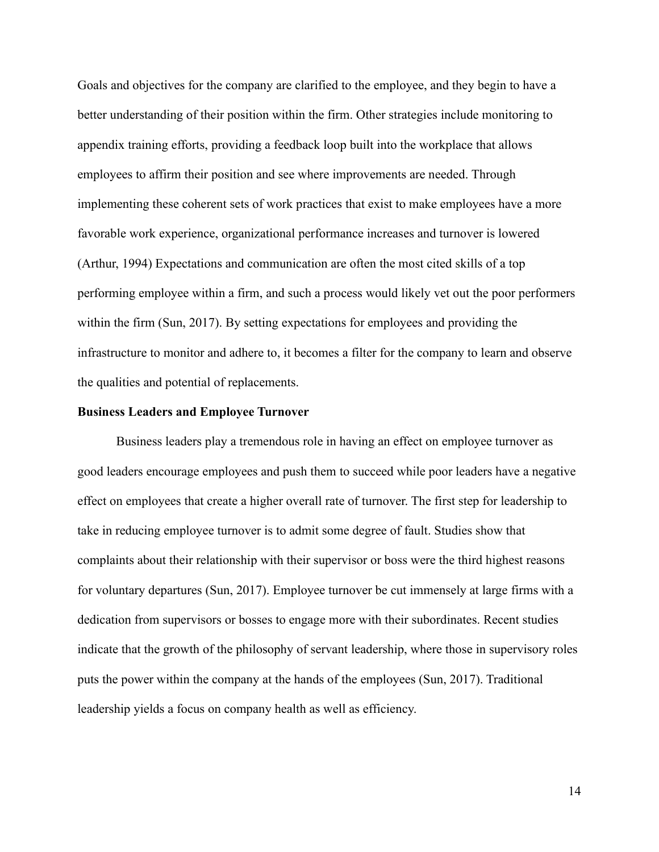Goals and objectives for the company are clarified to the employee, and they begin to have a better understanding of their position within the firm. Other strategies include monitoring to appendix training efforts, providing a feedback loop built into the workplace that allows employees to affirm their position and see where improvements are needed. Through implementing these coherent sets of work practices that exist to make employees have a more favorable work experience, organizational performance increases and turnover is lowered (Arthur, 1994) Expectations and communication are often the most cited skills of a top performing employee within a firm, and such a process would likely vet out the poor performers within the firm (Sun, 2017). By setting expectations for employees and providing the infrastructure to monitor and adhere to, it becomes a filter for the company to learn and observe the qualities and potential of replacements.

#### **Business Leaders and Employee Turnover**

Business leaders play a tremendous role in having an effect on employee turnover as good leaders encourage employees and push them to succeed while poor leaders have a negative effect on employees that create a higher overall rate of turnover. The first step for leadership to take in reducing employee turnover is to admit some degree of fault. Studies show that complaints about their relationship with their supervisor or boss were the third highest reasons for voluntary departures (Sun, 2017). Employee turnover be cut immensely at large firms with a dedication from supervisors or bosses to engage more with their subordinates. Recent studies indicate that the growth of the philosophy of servant leadership, where those in supervisory roles puts the power within the company at the hands of the employees (Sun, 2017). Traditional leadership yields a focus on company health as well as efficiency.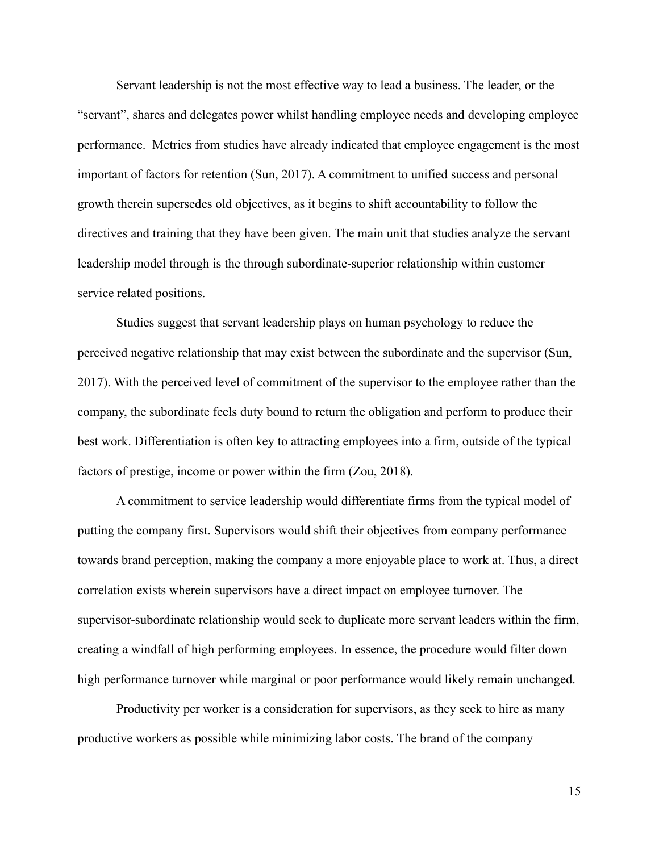Servant leadership is not the most effective way to lead a business. The leader, or the "servant", shares and delegates power whilst handling employee needs and developing employee performance. Metrics from studies have already indicated that employee engagement is the most important of factors for retention (Sun, 2017). A commitment to unified success and personal growth therein supersedes old objectives, as it begins to shift accountability to follow the directives and training that they have been given. The main unit that studies analyze the servant leadership model through is the through subordinate-superior relationship within customer service related positions.

Studies suggest that servant leadership plays on human psychology to reduce the perceived negative relationship that may exist between the subordinate and the supervisor (Sun, 2017). With the perceived level of commitment of the supervisor to the employee rather than the company, the subordinate feels duty bound to return the obligation and perform to produce their best work. Differentiation is often key to attracting employees into a firm, outside of the typical factors of prestige, income or power within the firm (Zou, 2018).

A commitment to service leadership would differentiate firms from the typical model of putting the company first. Supervisors would shift their objectives from company performance towards brand perception, making the company a more enjoyable place to work at. Thus, a direct correlation exists wherein supervisors have a direct impact on employee turnover. The supervisor-subordinate relationship would seek to duplicate more servant leaders within the firm, creating a windfall of high performing employees. In essence, the procedure would filter down high performance turnover while marginal or poor performance would likely remain unchanged.

Productivity per worker is a consideration for supervisors, as they seek to hire as many productive workers as possible while minimizing labor costs. The brand of the company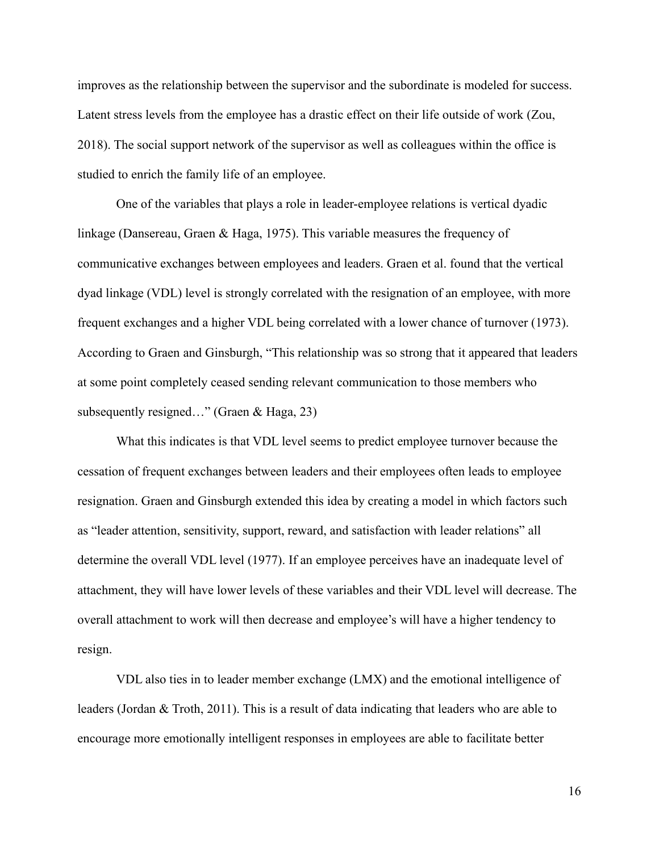improves as the relationship between the supervisor and the subordinate is modeled for success. Latent stress levels from the employee has a drastic effect on their life outside of work (Zou, 2018). The social support network of the supervisor as well as colleagues within the office is studied to enrich the family life of an employee.

One of the variables that plays a role in leader-employee relations is vertical dyadic linkage (Dansereau, Graen & Haga, 1975). This variable measures the frequency of communicative exchanges between employees and leaders. Graen et al. found that the vertical dyad linkage (VDL) level is strongly correlated with the resignation of an employee, with more frequent exchanges and a higher VDL being correlated with a lower chance of turnover (1973). According to Graen and Ginsburgh, "This relationship was so strong that it appeared that leaders at some point completely ceased sending relevant communication to those members who subsequently resigned…" (Graen & Haga, 23)

What this indicates is that VDL level seems to predict employee turnover because the cessation of frequent exchanges between leaders and their employees often leads to employee resignation. Graen and Ginsburgh extended this idea by creating a model in which factors such as "leader attention, sensitivity, support, reward, and satisfaction with leader relations" all determine the overall VDL level (1977). If an employee perceives have an inadequate level of attachment, they will have lower levels of these variables and their VDL level will decrease. The overall attachment to work will then decrease and employee's will have a higher tendency to resign.

VDL also ties in to leader member exchange (LMX) and the emotional intelligence of leaders (Jordan & Troth, 2011). This is a result of data indicating that leaders who are able to encourage more emotionally intelligent responses in employees are able to facilitate better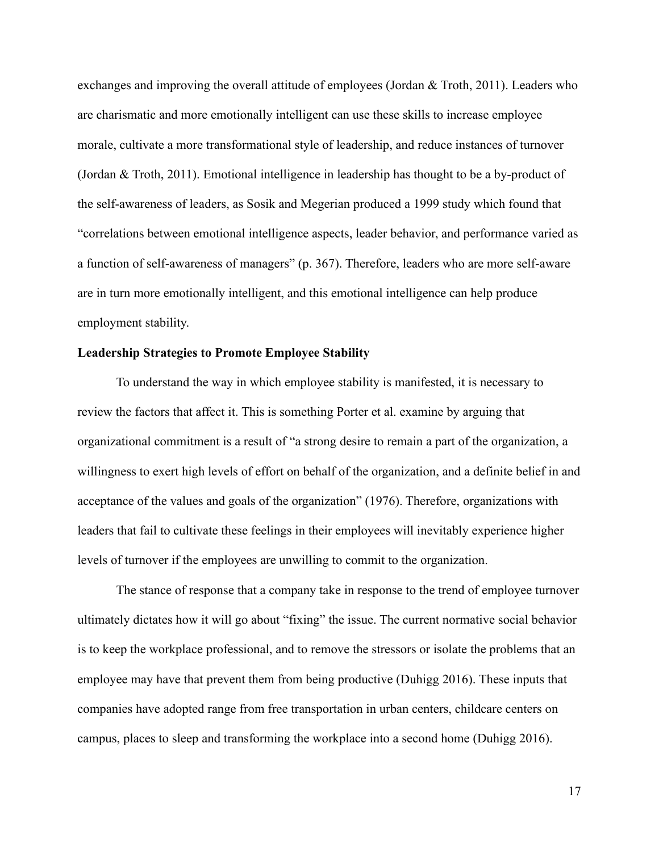exchanges and improving the overall attitude of employees (Jordan & Troth, 2011). Leaders who are charismatic and more emotionally intelligent can use these skills to increase employee morale, cultivate a more transformational style of leadership, and reduce instances of turnover (Jordan & Troth, 2011). Emotional intelligence in leadership has thought to be a by-product of the self-awareness of leaders, as Sosik and Megerian produced a 1999 study which found that "correlations between emotional intelligence aspects, leader behavior, and performance varied as a function of self-awareness of managers" (p. 367). Therefore, leaders who are more self-aware are in turn more emotionally intelligent, and this emotional intelligence can help produce employment stability.

#### **Leadership Strategies to Promote Employee Stability**

To understand the way in which employee stability is manifested, it is necessary to review the factors that affect it. This is something Porter et al. examine by arguing that organizational commitment is a result of "a strong desire to remain a part of the organization, a willingness to exert high levels of effort on behalf of the organization, and a definite belief in and acceptance of the values and goals of the organization" (1976). Therefore, organizations with leaders that fail to cultivate these feelings in their employees will inevitably experience higher levels of turnover if the employees are unwilling to commit to the organization.

The stance of response that a company take in response to the trend of employee turnover ultimately dictates how it will go about "fixing" the issue. The current normative social behavior is to keep the workplace professional, and to remove the stressors or isolate the problems that an employee may have that prevent them from being productive (Duhigg 2016). These inputs that companies have adopted range from free transportation in urban centers, childcare centers on campus, places to sleep and transforming the workplace into a second home (Duhigg 2016).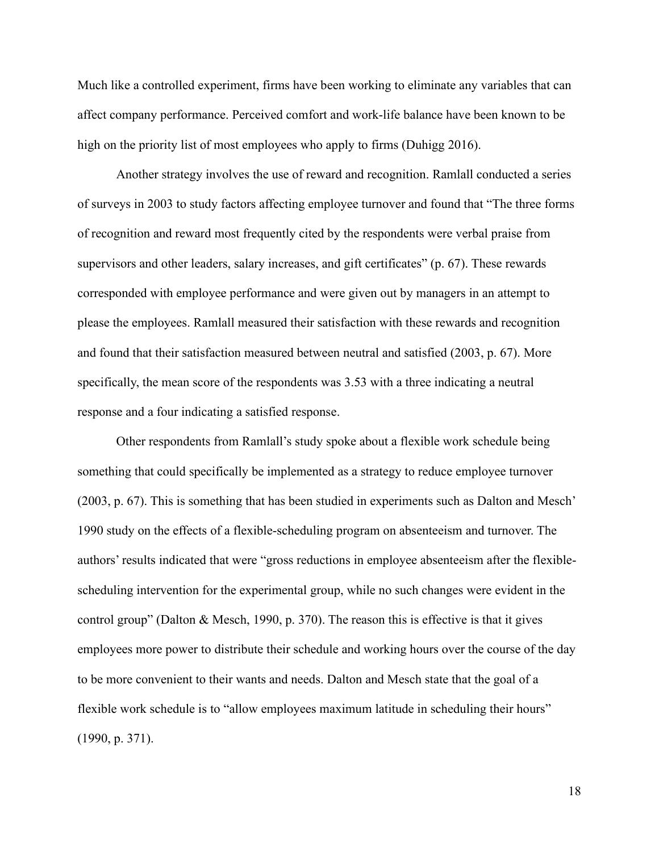Much like a controlled experiment, firms have been working to eliminate any variables that can affect company performance. Perceived comfort and work-life balance have been known to be high on the priority list of most employees who apply to firms (Duhigg 2016).

Another strategy involves the use of reward and recognition. Ramlall conducted a series of surveys in 2003 to study factors affecting employee turnover and found that "The three forms of recognition and reward most frequently cited by the respondents were verbal praise from supervisors and other leaders, salary increases, and gift certificates" (p. 67). These rewards corresponded with employee performance and were given out by managers in an attempt to please the employees. Ramlall measured their satisfaction with these rewards and recognition and found that their satisfaction measured between neutral and satisfied (2003, p. 67). More specifically, the mean score of the respondents was 3.53 with a three indicating a neutral response and a four indicating a satisfied response.

Other respondents from Ramlall's study spoke about a flexible work schedule being something that could specifically be implemented as a strategy to reduce employee turnover (2003, p. 67). This is something that has been studied in experiments such as Dalton and Mesch' 1990 study on the effects of a flexible-scheduling program on absenteeism and turnover. The authors' results indicated that were "gross reductions in employee absenteeism after the flexiblescheduling intervention for the experimental group, while no such changes were evident in the control group" (Dalton & Mesch, 1990, p. 370). The reason this is effective is that it gives employees more power to distribute their schedule and working hours over the course of the day to be more convenient to their wants and needs. Dalton and Mesch state that the goal of a flexible work schedule is to "allow employees maximum latitude in scheduling their hours" (1990, p. 371).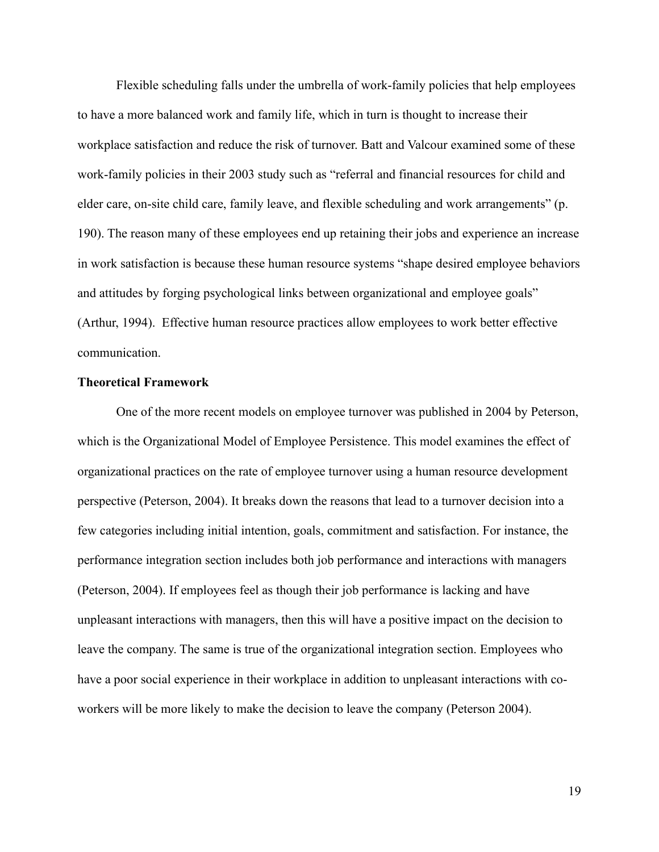Flexible scheduling falls under the umbrella of work-family policies that help employees to have a more balanced work and family life, which in turn is thought to increase their workplace satisfaction and reduce the risk of turnover. Batt and Valcour examined some of these work-family policies in their 2003 study such as "referral and financial resources for child and elder care, on-site child care, family leave, and flexible scheduling and work arrangements" (p. 190). The reason many of these employees end up retaining their jobs and experience an increase in work satisfaction is because these human resource systems "shape desired employee behaviors and attitudes by forging psychological links between organizational and employee goals" (Arthur, 1994). Effective human resource practices allow employees to work better effective communication.

## **Theoretical Framework**

One of the more recent models on employee turnover was published in 2004 by Peterson, which is the Organizational Model of Employee Persistence. This model examines the effect of organizational practices on the rate of employee turnover using a human resource development perspective (Peterson, 2004). It breaks down the reasons that lead to a turnover decision into a few categories including initial intention, goals, commitment and satisfaction. For instance, the performance integration section includes both job performance and interactions with managers (Peterson, 2004). If employees feel as though their job performance is lacking and have unpleasant interactions with managers, then this will have a positive impact on the decision to leave the company. The same is true of the organizational integration section. Employees who have a poor social experience in their workplace in addition to unpleasant interactions with coworkers will be more likely to make the decision to leave the company (Peterson 2004).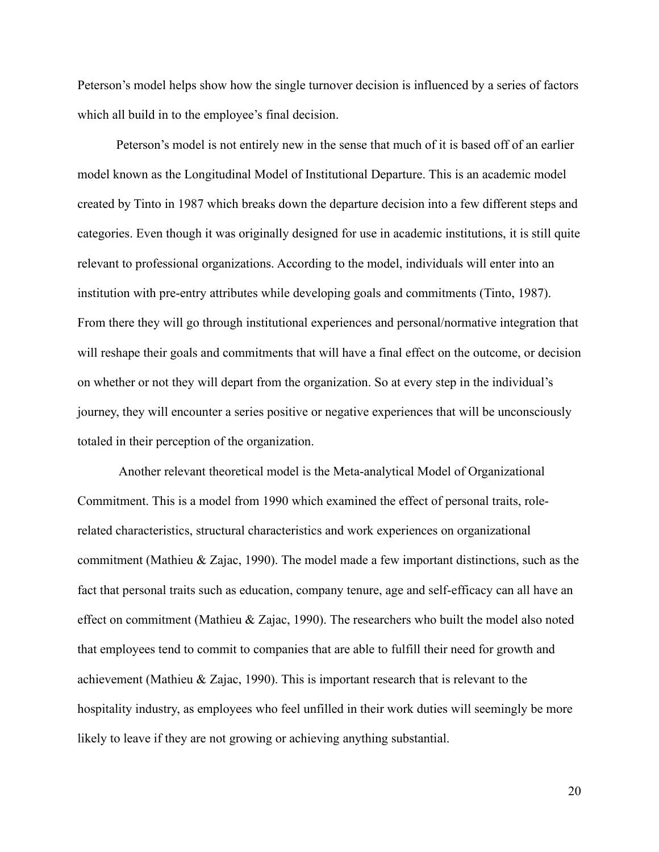Peterson's model helps show how the single turnover decision is influenced by a series of factors which all build in to the employee's final decision.

Peterson's model is not entirely new in the sense that much of it is based off of an earlier model known as the Longitudinal Model of Institutional Departure. This is an academic model created by Tinto in 1987 which breaks down the departure decision into a few different steps and categories. Even though it was originally designed for use in academic institutions, it is still quite relevant to professional organizations. According to the model, individuals will enter into an institution with pre-entry attributes while developing goals and commitments (Tinto, 1987). From there they will go through institutional experiences and personal/normative integration that will reshape their goals and commitments that will have a final effect on the outcome, or decision on whether or not they will depart from the organization. So at every step in the individual's journey, they will encounter a series positive or negative experiences that will be unconsciously totaled in their perception of the organization.

Another relevant theoretical model is the Meta-analytical Model of Organizational Commitment. This is a model from 1990 which examined the effect of personal traits, rolerelated characteristics, structural characteristics and work experiences on organizational commitment (Mathieu & Zajac, 1990). The model made a few important distinctions, such as the fact that personal traits such as education, company tenure, age and self-efficacy can all have an effect on commitment (Mathieu & Zajac, 1990). The researchers who built the model also noted that employees tend to commit to companies that are able to fulfill their need for growth and achievement (Mathieu & Zajac, 1990). This is important research that is relevant to the hospitality industry, as employees who feel unfilled in their work duties will seemingly be more likely to leave if they are not growing or achieving anything substantial.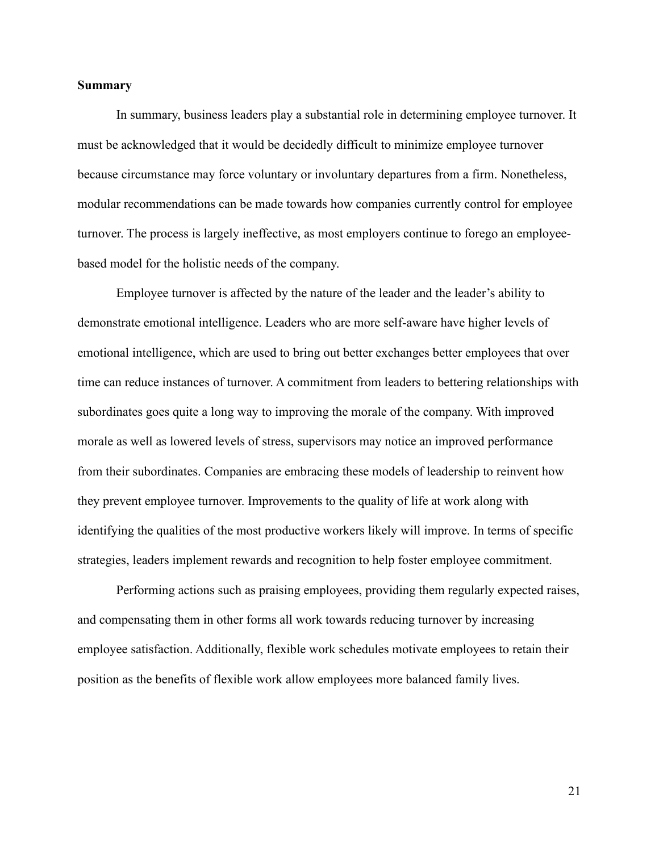# **Summary**

In summary, business leaders play a substantial role in determining employee turnover. It must be acknowledged that it would be decidedly difficult to minimize employee turnover because circumstance may force voluntary or involuntary departures from a firm. Nonetheless, modular recommendations can be made towards how companies currently control for employee turnover. The process is largely ineffective, as most employers continue to forego an employeebased model for the holistic needs of the company.

Employee turnover is affected by the nature of the leader and the leader's ability to demonstrate emotional intelligence. Leaders who are more self-aware have higher levels of emotional intelligence, which are used to bring out better exchanges better employees that over time can reduce instances of turnover. A commitment from leaders to bettering relationships with subordinates goes quite a long way to improving the morale of the company. With improved morale as well as lowered levels of stress, supervisors may notice an improved performance from their subordinates. Companies are embracing these models of leadership to reinvent how they prevent employee turnover. Improvements to the quality of life at work along with identifying the qualities of the most productive workers likely will improve. In terms of specific strategies, leaders implement rewards and recognition to help foster employee commitment.

Performing actions such as praising employees, providing them regularly expected raises, and compensating them in other forms all work towards reducing turnover by increasing employee satisfaction. Additionally, flexible work schedules motivate employees to retain their position as the benefits of flexible work allow employees more balanced family lives.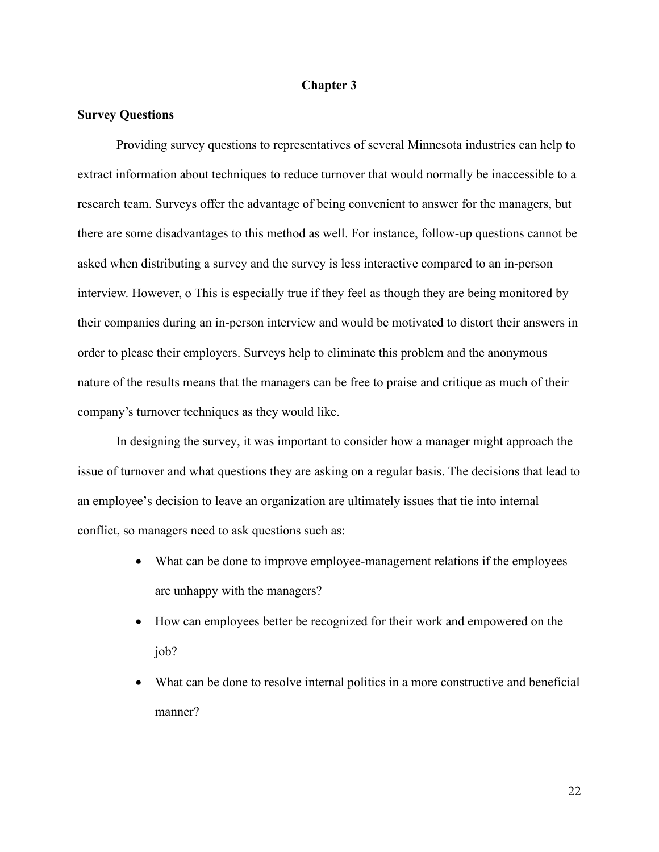# **Chapter 3**

# **Survey Questions**

Providing survey questions to representatives of several Minnesota industries can help to extract information about techniques to reduce turnover that would normally be inaccessible to a research team. Surveys offer the advantage of being convenient to answer for the managers, but there are some disadvantages to this method as well. For instance, follow-up questions cannot be asked when distributing a survey and the survey is less interactive compared to an in-person interview. However, o This is especially true if they feel as though they are being monitored by their companies during an in-person interview and would be motivated to distort their answers in order to please their employers. Surveys help to eliminate this problem and the anonymous nature of the results means that the managers can be free to praise and critique as much of their company's turnover techniques as they would like.

In designing the survey, it was important to consider how a manager might approach the issue of turnover and what questions they are asking on a regular basis. The decisions that lead to an employee's decision to leave an organization are ultimately issues that tie into internal conflict, so managers need to ask questions such as:

- What can be done to improve employee-management relations if the employees are unhappy with the managers?
- How can employees better be recognized for their work and empowered on the job?
- What can be done to resolve internal politics in a more constructive and beneficial manner?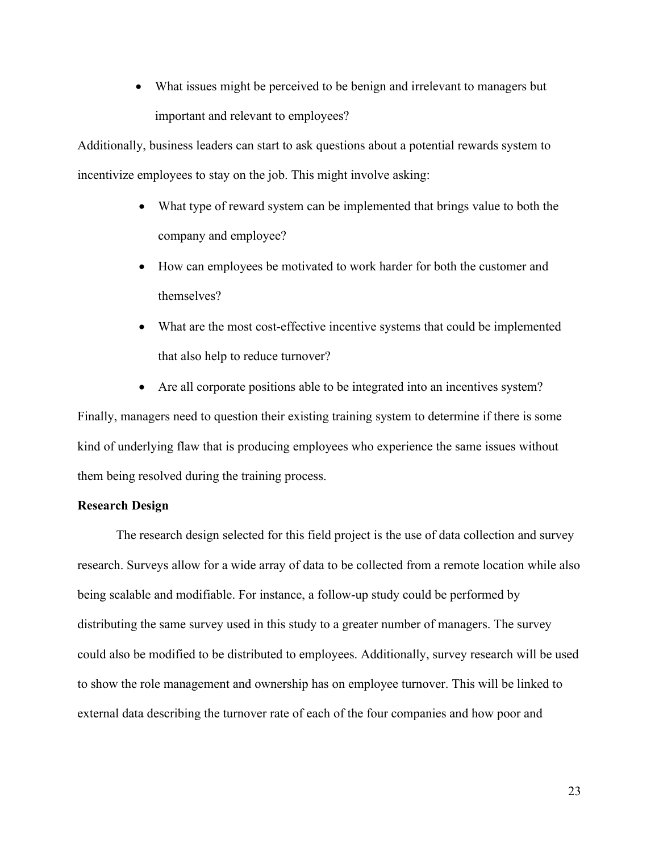• What issues might be perceived to be benign and irrelevant to managers but important and relevant to employees?

Additionally, business leaders can start to ask questions about a potential rewards system to incentivize employees to stay on the job. This might involve asking:

- What type of reward system can be implemented that brings value to both the company and employee?
- How can employees be motivated to work harder for both the customer and themselves?
- What are the most cost-effective incentive systems that could be implemented that also help to reduce turnover?
- Are all corporate positions able to be integrated into an incentives system?

Finally, managers need to question their existing training system to determine if there is some kind of underlying flaw that is producing employees who experience the same issues without them being resolved during the training process.

# **Research Design**

The research design selected for this field project is the use of data collection and survey research. Surveys allow for a wide array of data to be collected from a remote location while also being scalable and modifiable. For instance, a follow-up study could be performed by distributing the same survey used in this study to a greater number of managers. The survey could also be modified to be distributed to employees. Additionally, survey research will be used to show the role management and ownership has on employee turnover. This will be linked to external data describing the turnover rate of each of the four companies and how poor and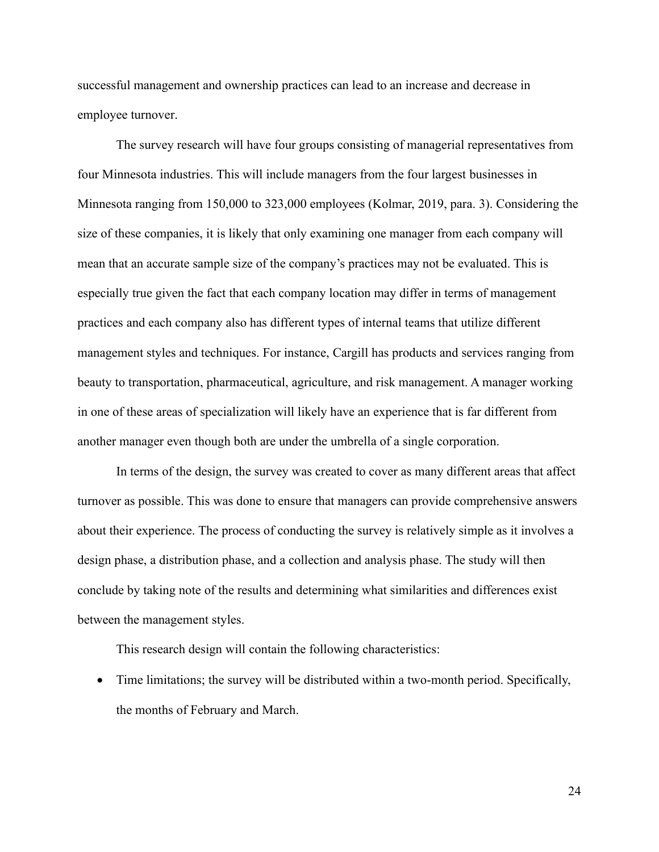successful management and ownership practices can lead to an increase and decrease in employee turnover.

The survey research will have four groups consisting of managerial representatives from four Minnesota industries. This will include managers from the four largest businesses in Minnesota ranging from 150,000 to 323,000 employees (Kolmar, 2019, para. 3). Considering the size of these companies, it is likely that only examining one manager from each company will mean that an accurate sample size of the company's practices may not be evaluated. This is especially true given the fact that each company location may differ in terms of management practices and each company also has different types of internal teams that utilize different management styles and techniques. For instance, Cargill has products and services ranging from beauty to transportation, pharmaceutical, agriculture, and risk management. A manager working in one of these areas of specialization will likely have an experience that is far different from another manager even though both are under the umbrella of a single corporation.

In terms of the design, the survey was created to cover as many different areas that affect turnover as possible. This was done to ensure that managers can provide comprehensive answers about their experience. The process of conducting the survey is relatively simple as it involves a design phase, a distribution phase, and a collection and analysis phase. The study will then conclude by taking note of the results and determining what similarities and differences exist between the management styles.

This research design will contain the following characteristics:

• Time limitations; the survey will be distributed within a two-month period. Specifically, the months of February and March.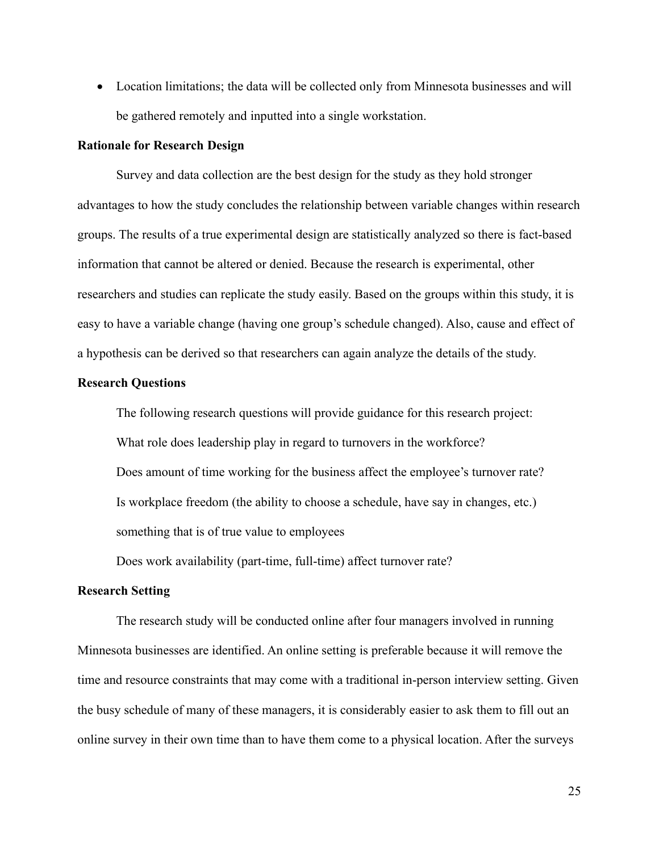• Location limitations; the data will be collected only from Minnesota businesses and will be gathered remotely and inputted into a single workstation.

#### **Rationale for Research Design**

Survey and data collection are the best design for the study as they hold stronger advantages to how the study concludes the relationship between variable changes within research groups. The results of a true experimental design are statistically analyzed so there is fact-based information that cannot be altered or denied. Because the research is experimental, other researchers and studies can replicate the study easily. Based on the groups within this study, it is easy to have a variable change (having one group's schedule changed). Also, cause and effect of a hypothesis can be derived so that researchers can again analyze the details of the study.

#### **Research Questions**

The following research questions will provide guidance for this research project: What role does leadership play in regard to turnovers in the workforce? Does amount of time working for the business affect the employee's turnover rate? Is workplace freedom (the ability to choose a schedule, have say in changes, etc.) something that is of true value to employees

Does work availability (part-time, full-time) affect turnover rate?

# **Research Setting**

The research study will be conducted online after four managers involved in running Minnesota businesses are identified. An online setting is preferable because it will remove the time and resource constraints that may come with a traditional in-person interview setting. Given the busy schedule of many of these managers, it is considerably easier to ask them to fill out an online survey in their own time than to have them come to a physical location. After the surveys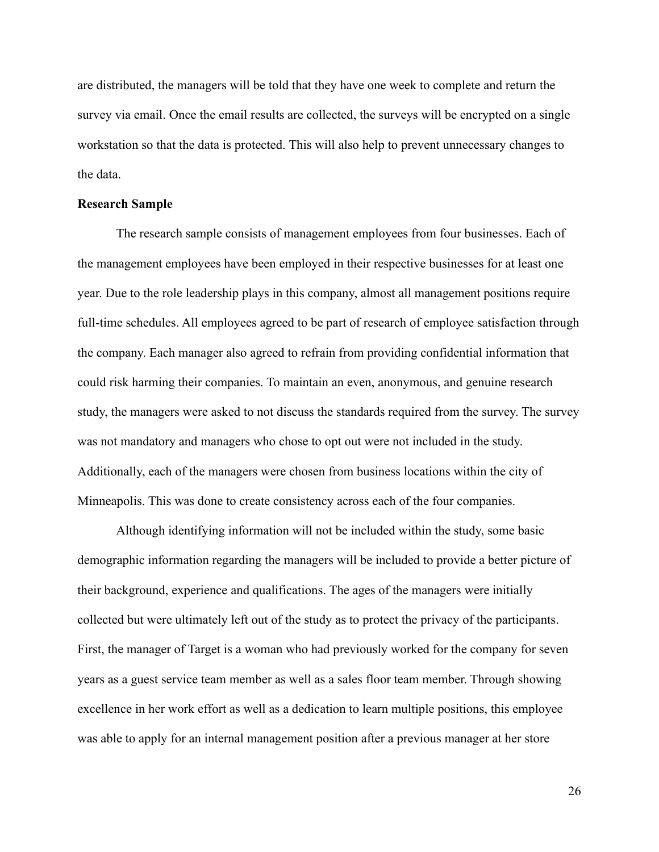are distributed, the managers will be told that they have one week to complete and return the survey via email. Once the email results are collected, the surveys will be encrypted on a single workstation so that the data is protected. This will also help to prevent unnecessary changes to the data.

#### **Research Sample**

The research sample consists of management employees from four businesses. Each of the management employees have been employed in their respective businesses for at least one year. Due to the role leadership plays in this company, almost all management positions require full-time schedules. All employees agreed to be part of research of employee satisfaction through the company. Each manager also agreed to refrain from providing confidential information that could risk harming their companies. To maintain an even, anonymous, and genuine research study, the managers were asked to not discuss the standards required from the survey. The survey was not mandatory and managers who chose to opt out were not included in the study. Additionally, each of the managers were chosen from business locations within the city of Minneapolis. This was done to create consistency across each of the four companies.

Although identifying information will not be included within the study, some basic demographic information regarding the managers will be included to provide a better picture of their background, experience and qualifications. The ages of the managers were initially collected but were ultimately left out of the study as to protect the privacy of the participants. First, the manager of Target is a woman who had previously worked for the company for seven years as a guest service team member as well as a sales floor team member. Through showing excellence in her work effort as well as a dedication to learn multiple positions, this employee was able to apply for an internal management position after a previous manager at her store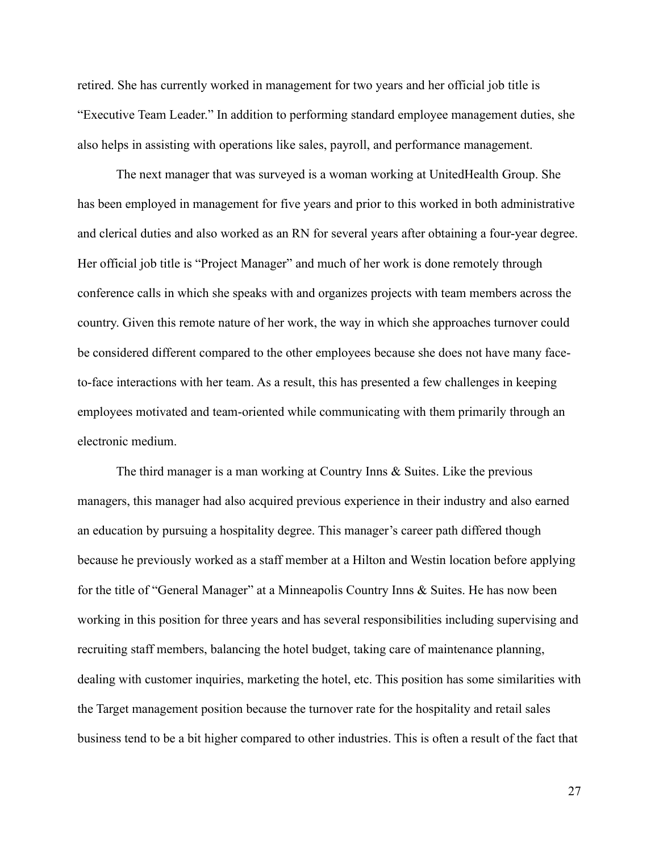retired. She has currently worked in management for two years and her official job title is "Executive Team Leader." In addition to performing standard employee management duties, she also helps in assisting with operations like sales, payroll, and performance management.

The next manager that was surveyed is a woman working at UnitedHealth Group. She has been employed in management for five years and prior to this worked in both administrative and clerical duties and also worked as an RN for several years after obtaining a four-year degree. Her official job title is "Project Manager" and much of her work is done remotely through conference calls in which she speaks with and organizes projects with team members across the country. Given this remote nature of her work, the way in which she approaches turnover could be considered different compared to the other employees because she does not have many faceto-face interactions with her team. As a result, this has presented a few challenges in keeping employees motivated and team-oriented while communicating with them primarily through an electronic medium.

The third manager is a man working at Country Inns & Suites. Like the previous managers, this manager had also acquired previous experience in their industry and also earned an education by pursuing a hospitality degree. This manager's career path differed though because he previously worked as a staff member at a Hilton and Westin location before applying for the title of "General Manager" at a Minneapolis Country Inns & Suites. He has now been working in this position for three years and has several responsibilities including supervising and recruiting staff members, balancing the hotel budget, taking care of maintenance planning, dealing with customer inquiries, marketing the hotel, etc. This position has some similarities with the Target management position because the turnover rate for the hospitality and retail sales business tend to be a bit higher compared to other industries. This is often a result of the fact that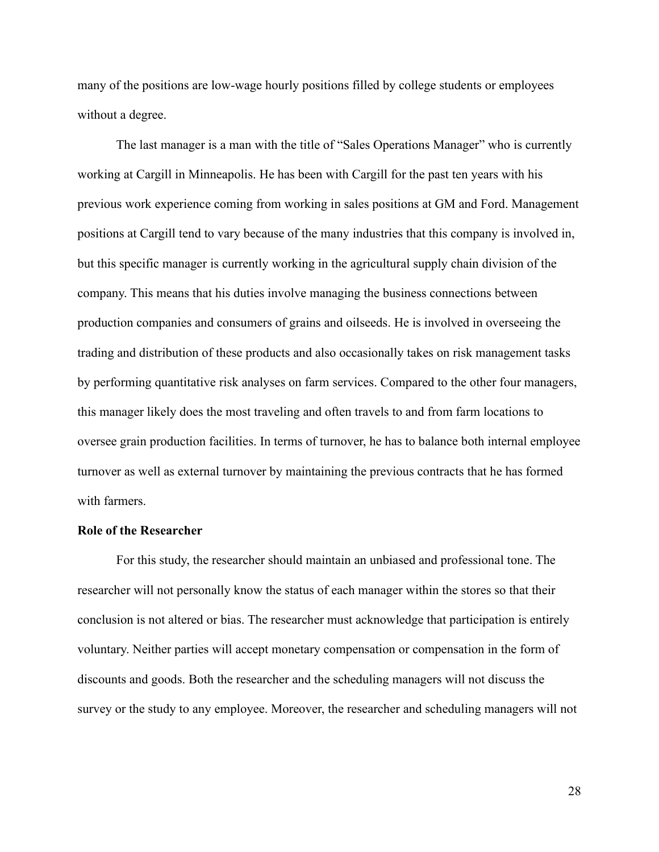many of the positions are low-wage hourly positions filled by college students or employees without a degree.

The last manager is a man with the title of "Sales Operations Manager" who is currently working at Cargill in Minneapolis. He has been with Cargill for the past ten years with his previous work experience coming from working in sales positions at GM and Ford. Management positions at Cargill tend to vary because of the many industries that this company is involved in, but this specific manager is currently working in the agricultural supply chain division of the company. This means that his duties involve managing the business connections between production companies and consumers of grains and oilseeds. He is involved in overseeing the trading and distribution of these products and also occasionally takes on risk management tasks by performing quantitative risk analyses on farm services. Compared to the other four managers, this manager likely does the most traveling and often travels to and from farm locations to oversee grain production facilities. In terms of turnover, he has to balance both internal employee turnover as well as external turnover by maintaining the previous contracts that he has formed with farmers.

## **Role of the Researcher**

For this study, the researcher should maintain an unbiased and professional tone. The researcher will not personally know the status of each manager within the stores so that their conclusion is not altered or bias. The researcher must acknowledge that participation is entirely voluntary. Neither parties will accept monetary compensation or compensation in the form of discounts and goods. Both the researcher and the scheduling managers will not discuss the survey or the study to any employee. Moreover, the researcher and scheduling managers will not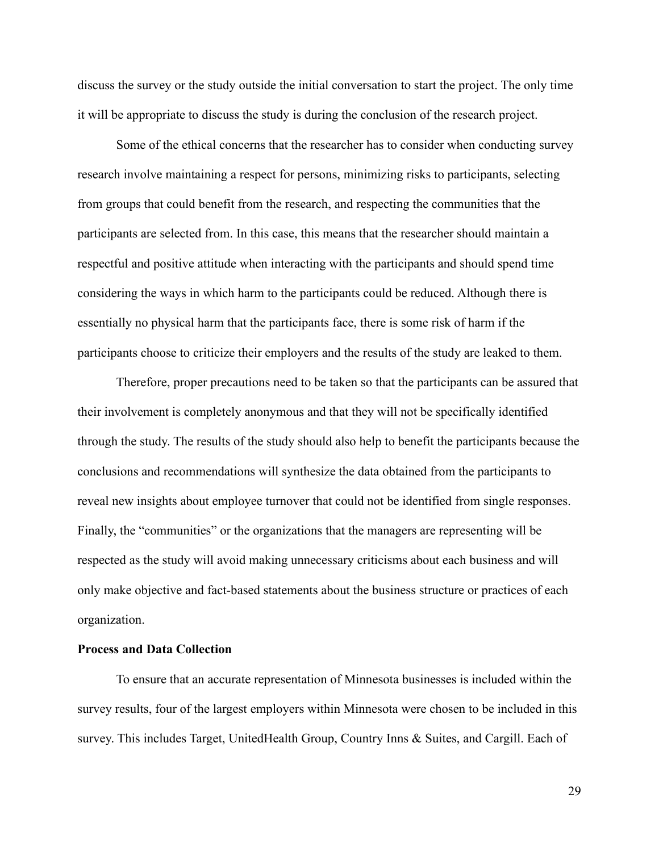discuss the survey or the study outside the initial conversation to start the project. The only time it will be appropriate to discuss the study is during the conclusion of the research project.

Some of the ethical concerns that the researcher has to consider when conducting survey research involve maintaining a respect for persons, minimizing risks to participants, selecting from groups that could benefit from the research, and respecting the communities that the participants are selected from. In this case, this means that the researcher should maintain a respectful and positive attitude when interacting with the participants and should spend time considering the ways in which harm to the participants could be reduced. Although there is essentially no physical harm that the participants face, there is some risk of harm if the participants choose to criticize their employers and the results of the study are leaked to them.

Therefore, proper precautions need to be taken so that the participants can be assured that their involvement is completely anonymous and that they will not be specifically identified through the study. The results of the study should also help to benefit the participants because the conclusions and recommendations will synthesize the data obtained from the participants to reveal new insights about employee turnover that could not be identified from single responses. Finally, the "communities" or the organizations that the managers are representing will be respected as the study will avoid making unnecessary criticisms about each business and will only make objective and fact-based statements about the business structure or practices of each organization.

# **Process and Data Collection**

To ensure that an accurate representation of Minnesota businesses is included within the survey results, four of the largest employers within Minnesota were chosen to be included in this survey. This includes Target, UnitedHealth Group, Country Inns & Suites, and Cargill. Each of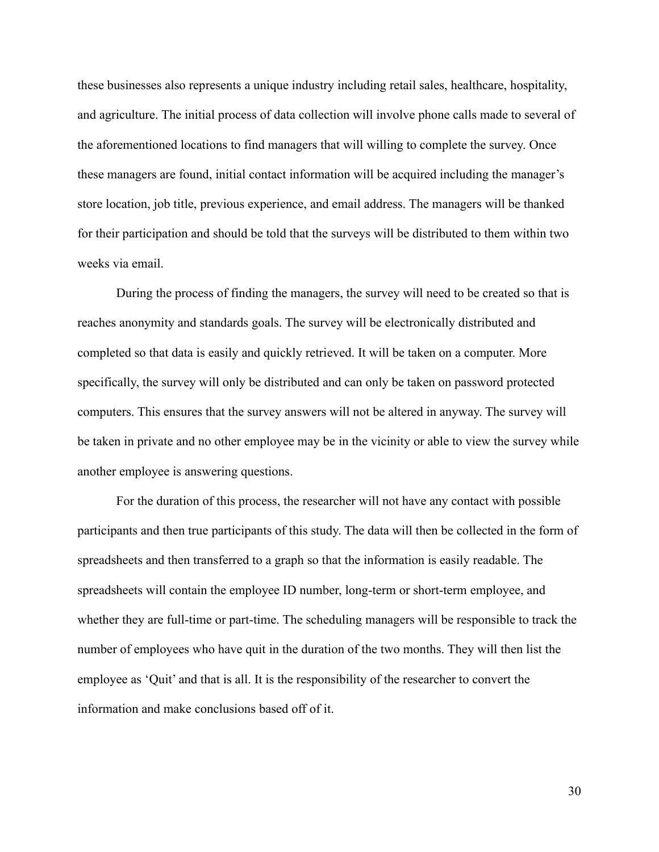these businesses also represents a unique industry including retail sales, healthcare, hospitality, and agriculture. The initial process of data collection will involve phone calls made to several of the aforementioned locations to find managers that will willing to complete the survey. Once these managers are found, initial contact information will be acquired including the manager's store location, job title, previous experience, and email address. The managers will be thanked for their participation and should be told that the surveys will be distributed to them within two weeks via email.

During the process of finding the managers, the survey will need to be created so that is reaches anonymity and standards goals. The survey will be electronically distributed and completed so that data is easily and quickly retrieved. It will be taken on a computer. More specifically, the survey will only be distributed and can only be taken on password protected computers. This ensures that the survey answers will not be altered in anyway. The survey will be taken in private and no other employee may be in the vicinity or able to view the survey while another employee is answering questions.

For the duration of this process, the researcher will not have any contact with possible participants and then true participants of this study. The data will then be collected in the form of spreadsheets and then transferred to a graph so that the information is easily readable. The spreadsheets will contain the employee ID number, long-term or short-term employee, and whether they are full-time or part-time. The scheduling managers will be responsible to track the number of employees who have quit in the duration of the two months. They will then list the employee as 'Quit' and that is all. It is the responsibility of the researcher to convert the information and make conclusions based off of it.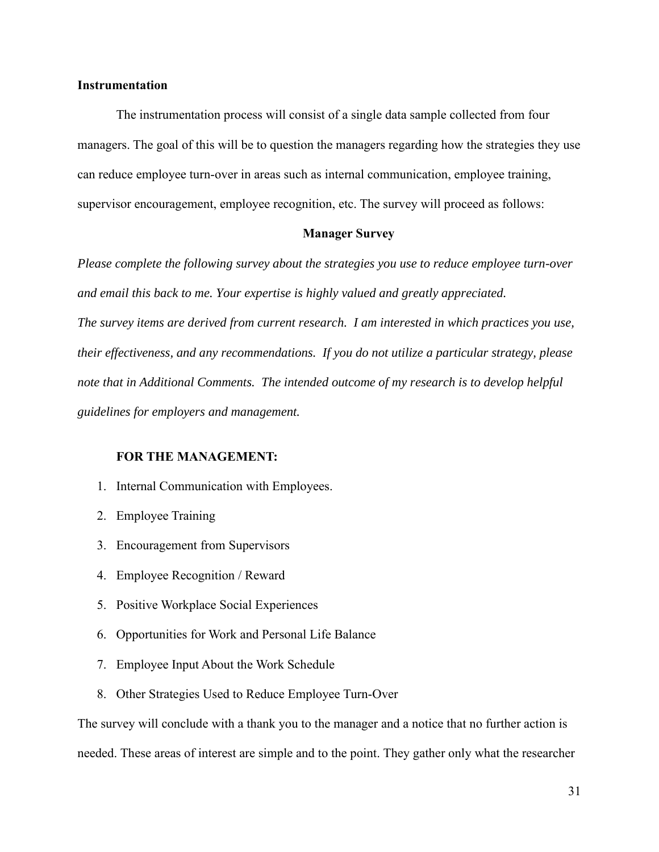## **Instrumentation**

The instrumentation process will consist of a single data sample collected from four managers. The goal of this will be to question the managers regarding how the strategies they use can reduce employee turn-over in areas such as internal communication, employee training, supervisor encouragement, employee recognition, etc. The survey will proceed as follows:

# **Manager Survey**

*Please complete the following survey about the strategies you use to reduce employee turn-over and email this back to me. Your expertise is highly valued and greatly appreciated. The survey items are derived from current research. I am interested in which practices you use, their effectiveness, and any recommendations. If you do not utilize a particular strategy, please note that in Additional Comments. The intended outcome of my research is to develop helpful guidelines for employers and management.* 

#### **FOR THE MANAGEMENT:**

- 1. Internal Communication with Employees.
- 2. Employee Training
- 3. Encouragement from Supervisors
- 4. Employee Recognition / Reward
- 5. Positive Workplace Social Experiences
- 6. Opportunities for Work and Personal Life Balance
- 7. Employee Input About the Work Schedule
- 8. Other Strategies Used to Reduce Employee Turn-Over

The survey will conclude with a thank you to the manager and a notice that no further action is needed. These areas of interest are simple and to the point. They gather only what the researcher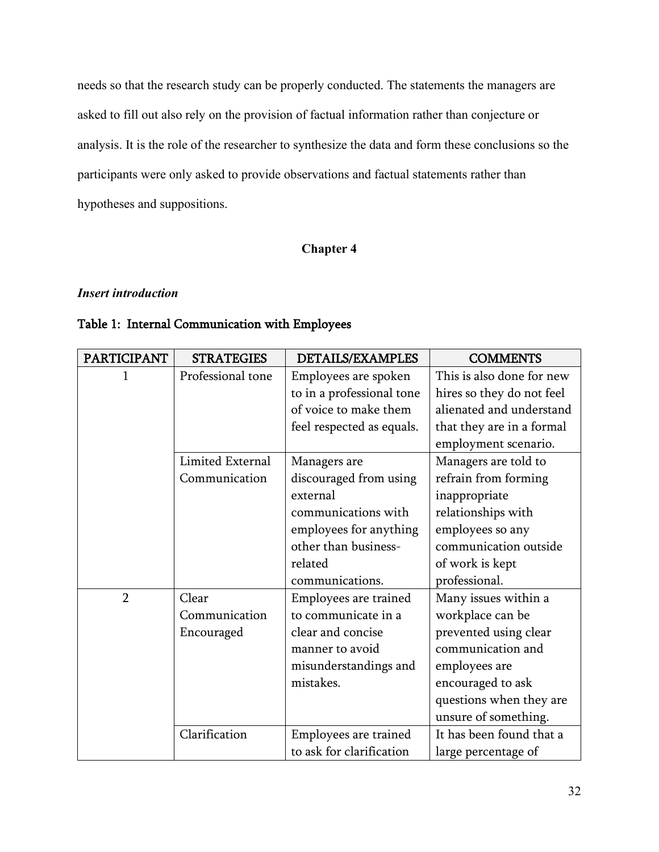needs so that the research study can be properly conducted. The statements the managers are asked to fill out also rely on the provision of factual information rather than conjecture or analysis. It is the role of the researcher to synthesize the data and form these conclusions so the participants were only asked to provide observations and factual statements rather than hypotheses and suppositions.

# **Chapter 4**

# *Insert introduction*

# Table 1: Internal Communication with Employees

| <b>PARTICIPANT</b> | <b>STRATEGIES</b> | DETAILS/EXAMPLES          | <b>COMMENTS</b>           |
|--------------------|-------------------|---------------------------|---------------------------|
|                    | Professional tone | Employees are spoken      | This is also done for new |
|                    |                   | to in a professional tone | hires so they do not feel |
|                    |                   | of voice to make them     | alienated and understand  |
|                    |                   | feel respected as equals. | that they are in a formal |
|                    |                   |                           | employment scenario.      |
|                    | Limited External  | Managers are              | Managers are told to      |
|                    | Communication     | discouraged from using    | refrain from forming      |
|                    |                   | external                  | inappropriate             |
|                    |                   | communications with       | relationships with        |
|                    |                   | employees for anything    | employees so any          |
|                    |                   | other than business-      | communication outside     |
|                    |                   | related                   | of work is kept           |
|                    |                   | communications.           | professional.             |
| $\overline{2}$     | Clear             | Employees are trained     | Many issues within a      |
|                    | Communication     | to communicate in a       | workplace can be          |
|                    | Encouraged        | clear and concise         | prevented using clear     |
|                    |                   | manner to avoid           | communication and         |
|                    |                   | misunderstandings and     | employees are             |
|                    |                   | mistakes.                 | encouraged to ask         |
|                    |                   |                           | questions when they are   |
|                    |                   |                           | unsure of something.      |
|                    | Clarification     | Employees are trained     | It has been found that a  |
|                    |                   | to ask for clarification  | large percentage of       |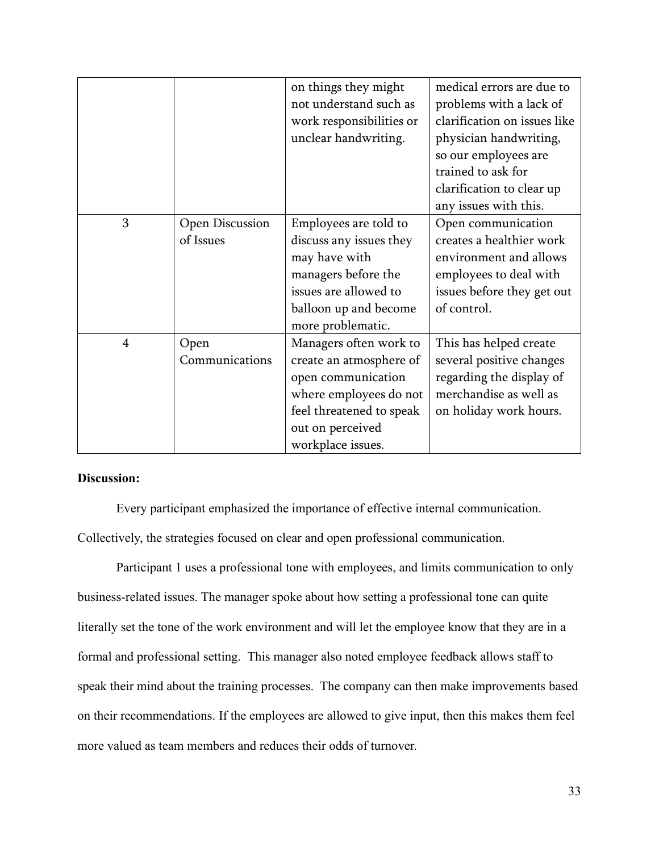|                |                        | on things they might     | medical errors are due to    |
|----------------|------------------------|--------------------------|------------------------------|
|                |                        | not understand such as   | problems with a lack of      |
|                |                        | work responsibilities or | clarification on issues like |
|                |                        | unclear handwriting.     | physician handwriting,       |
|                |                        |                          | so our employees are         |
|                |                        |                          | trained to ask for           |
|                |                        |                          | clarification to clear up    |
|                |                        |                          | any issues with this.        |
| 3              | <b>Open Discussion</b> | Employees are told to    | Open communication           |
|                | of Issues              | discuss any issues they  | creates a healthier work     |
|                |                        | may have with            | environment and allows       |
|                |                        | managers before the      | employees to deal with       |
|                |                        | issues are allowed to    | issues before they get out   |
|                |                        | balloon up and become    | of control.                  |
|                |                        | more problematic.        |                              |
| $\overline{4}$ | Open                   | Managers often work to   | This has helped create       |
|                | Communications         | create an atmosphere of  | several positive changes     |
|                |                        | open communication       | regarding the display of     |
|                |                        | where employees do not   | merchandise as well as       |
|                |                        | feel threatened to speak | on holiday work hours.       |
|                |                        | out on perceived         |                              |
|                |                        | workplace issues.        |                              |

Every participant emphasized the importance of effective internal communication. Collectively, the strategies focused on clear and open professional communication.

Participant 1 uses a professional tone with employees, and limits communication to only business-related issues. The manager spoke about how setting a professional tone can quite literally set the tone of the work environment and will let the employee know that they are in a formal and professional setting. This manager also noted employee feedback allows staff to speak their mind about the training processes. The company can then make improvements based on their recommendations. If the employees are allowed to give input, then this makes them feel more valued as team members and reduces their odds of turnover.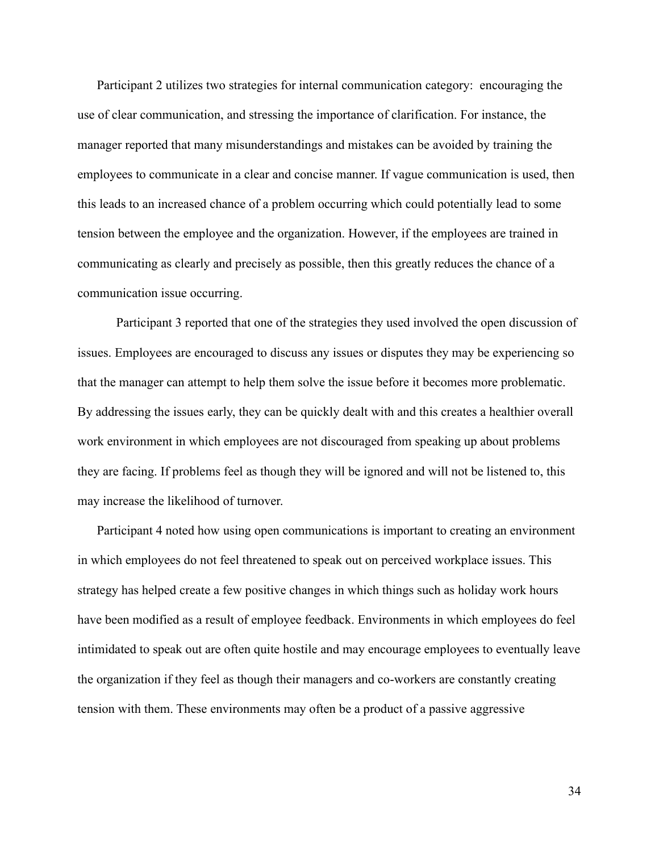Participant 2 utilizes two strategies for internal communication category: encouraging the use of clear communication, and stressing the importance of clarification. For instance, the manager reported that many misunderstandings and mistakes can be avoided by training the employees to communicate in a clear and concise manner. If vague communication is used, then this leads to an increased chance of a problem occurring which could potentially lead to some tension between the employee and the organization. However, if the employees are trained in communicating as clearly and precisely as possible, then this greatly reduces the chance of a communication issue occurring.

Participant 3 reported that one of the strategies they used involved the open discussion of issues. Employees are encouraged to discuss any issues or disputes they may be experiencing so that the manager can attempt to help them solve the issue before it becomes more problematic. By addressing the issues early, they can be quickly dealt with and this creates a healthier overall work environment in which employees are not discouraged from speaking up about problems they are facing. If problems feel as though they will be ignored and will not be listened to, this may increase the likelihood of turnover.

Participant 4 noted how using open communications is important to creating an environment in which employees do not feel threatened to speak out on perceived workplace issues. This strategy has helped create a few positive changes in which things such as holiday work hours have been modified as a result of employee feedback. Environments in which employees do feel intimidated to speak out are often quite hostile and may encourage employees to eventually leave the organization if they feel as though their managers and co-workers are constantly creating tension with them. These environments may often be a product of a passive aggressive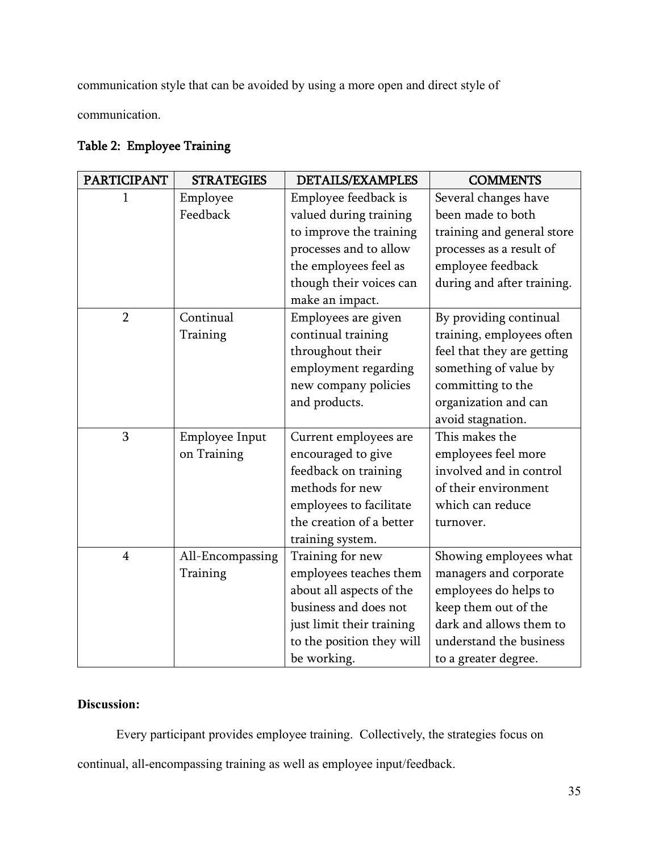communication style that can be avoided by using a more open and direct style of

communication.

# Table 2: Employee Training

| <b>PARTICIPANT</b> | <b>STRATEGIES</b>             | <b>DETAILS/EXAMPLES</b>                                                                                                                                                    | <b>COMMENTS</b>                                                                                                                                                                 |
|--------------------|-------------------------------|----------------------------------------------------------------------------------------------------------------------------------------------------------------------------|---------------------------------------------------------------------------------------------------------------------------------------------------------------------------------|
| 1                  | Employee<br>Feedback          | Employee feedback is<br>valued during training<br>to improve the training<br>processes and to allow<br>the employees feel as<br>though their voices can<br>make an impact. | Several changes have<br>been made to both<br>training and general store<br>processes as a result of<br>employee feedback<br>during and after training.                          |
| $\overline{2}$     | Continual<br>Training         | Employees are given<br>continual training<br>throughout their<br>employment regarding<br>new company policies<br>and products.                                             | By providing continual<br>training, employees often<br>feel that they are getting<br>something of value by<br>committing to the<br>organization and can<br>avoid stagnation.    |
| 3                  | Employee Input<br>on Training | Current employees are<br>encouraged to give<br>feedback on training<br>methods for new<br>employees to facilitate<br>the creation of a better<br>training system.          | This makes the<br>employees feel more<br>involved and in control<br>of their environment<br>which can reduce<br>turnover.                                                       |
| $\overline{4}$     | All-Encompassing<br>Training  | Training for new<br>employees teaches them<br>about all aspects of the<br>business and does not<br>just limit their training<br>to the position they will<br>be working.   | Showing employees what<br>managers and corporate<br>employees do helps to<br>keep them out of the<br>dark and allows them to<br>understand the business<br>to a greater degree. |

# **Discussion:**

Every participant provides employee training. Collectively, the strategies focus on continual, all-encompassing training as well as employee input/feedback.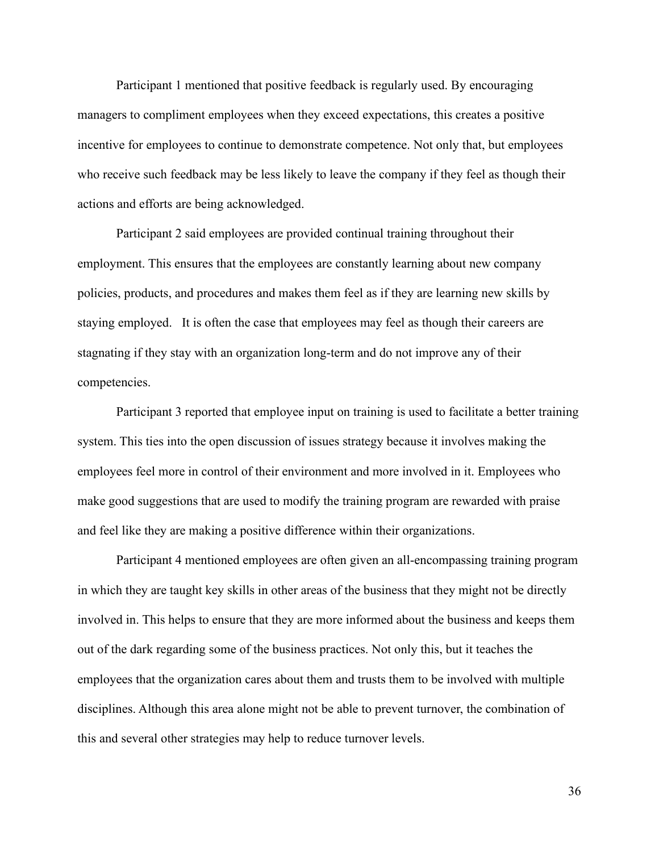Participant 1 mentioned that positive feedback is regularly used. By encouraging managers to compliment employees when they exceed expectations, this creates a positive incentive for employees to continue to demonstrate competence. Not only that, but employees who receive such feedback may be less likely to leave the company if they feel as though their actions and efforts are being acknowledged.

Participant 2 said employees are provided continual training throughout their employment. This ensures that the employees are constantly learning about new company policies, products, and procedures and makes them feel as if they are learning new skills by staying employed. It is often the case that employees may feel as though their careers are stagnating if they stay with an organization long-term and do not improve any of their competencies.

Participant 3 reported that employee input on training is used to facilitate a better training system. This ties into the open discussion of issues strategy because it involves making the employees feel more in control of their environment and more involved in it. Employees who make good suggestions that are used to modify the training program are rewarded with praise and feel like they are making a positive difference within their organizations.

Participant 4 mentioned employees are often given an all-encompassing training program in which they are taught key skills in other areas of the business that they might not be directly involved in. This helps to ensure that they are more informed about the business and keeps them out of the dark regarding some of the business practices. Not only this, but it teaches the employees that the organization cares about them and trusts them to be involved with multiple disciplines. Although this area alone might not be able to prevent turnover, the combination of this and several other strategies may help to reduce turnover levels.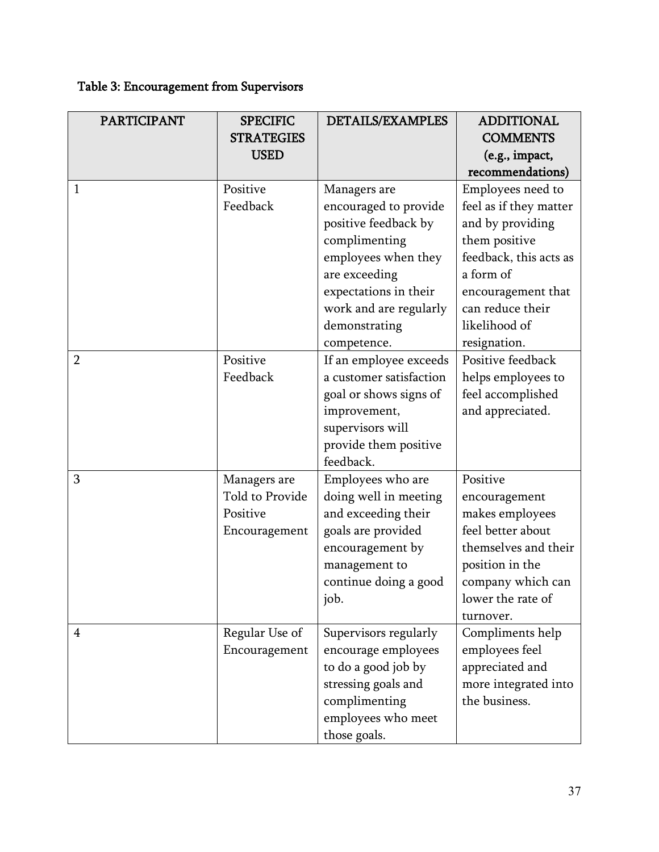# Table 3: Encouragement from Supervisors

| <b>PARTICIPANT</b> | <b>SPECIFIC</b><br><b>STRATEGIES</b><br><b>USED</b>                 | <b>DETAILS/EXAMPLES</b>                                                                                                                                                                                   | <b>ADDITIONAL</b><br><b>COMMENTS</b><br>(e.g., impact,<br>recommendations)                                                                                                                         |
|--------------------|---------------------------------------------------------------------|-----------------------------------------------------------------------------------------------------------------------------------------------------------------------------------------------------------|----------------------------------------------------------------------------------------------------------------------------------------------------------------------------------------------------|
| $\mathbf{1}$       | Positive<br>Feedback                                                | Managers are<br>encouraged to provide<br>positive feedback by<br>complimenting<br>employees when they<br>are exceeding<br>expectations in their<br>work and are regularly<br>demonstrating<br>competence. | Employees need to<br>feel as if they matter<br>and by providing<br>them positive<br>feedback, this acts as<br>a form of<br>encouragement that<br>can reduce their<br>likelihood of<br>resignation. |
| $\overline{2}$     | Positive<br>Feedback                                                | If an employee exceeds<br>a customer satisfaction<br>goal or shows signs of<br>improvement,<br>supervisors will<br>provide them positive<br>feedback.                                                     | Positive feedback<br>helps employees to<br>feel accomplished<br>and appreciated.                                                                                                                   |
| 3                  | Managers are<br><b>Told to Provide</b><br>Positive<br>Encouragement | Employees who are<br>doing well in meeting<br>and exceeding their<br>goals are provided<br>encouragement by<br>management to<br>continue doing a good<br>job.                                             | Positive<br>encouragement<br>makes employees<br>feel better about<br>themselves and their<br>position in the<br>company which can<br>lower the rate of<br>turnover.                                |
| $\overline{4}$     | Regular Use of<br>Encouragement                                     | Supervisors regularly<br>encourage employees<br>to do a good job by<br>stressing goals and<br>complimenting<br>employees who meet<br>those goals.                                                         | Compliments help<br>employees feel<br>appreciated and<br>more integrated into<br>the business.                                                                                                     |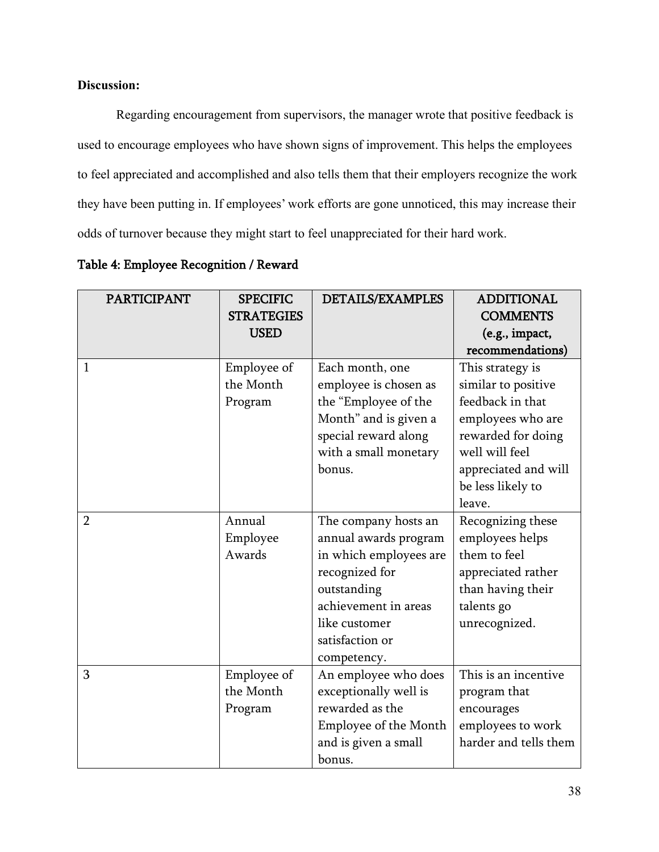Regarding encouragement from supervisors, the manager wrote that positive feedback is used to encourage employees who have shown signs of improvement. This helps the employees to feel appreciated and accomplished and also tells them that their employers recognize the work they have been putting in. If employees' work efforts are gone unnoticed, this may increase their odds of turnover because they might start to feel unappreciated for their hard work.

| <b>PARTICIPANT</b> | <b>SPECIFIC</b><br><b>STRATEGIES</b> | <b>DETAILS/EXAMPLES</b>                                                                                                                                                             | <b>ADDITIONAL</b><br><b>COMMENTS</b>                                                                                           |
|--------------------|--------------------------------------|-------------------------------------------------------------------------------------------------------------------------------------------------------------------------------------|--------------------------------------------------------------------------------------------------------------------------------|
|                    | <b>USED</b>                          |                                                                                                                                                                                     | (e.g., impact,                                                                                                                 |
|                    |                                      |                                                                                                                                                                                     | recommendations)                                                                                                               |
| $\mathbf{1}$       | Employee of<br>the Month<br>Program  | Each month, one<br>employee is chosen as<br>the "Employee of the<br>Month" and is given a<br>special reward along<br>with a small monetary                                          | This strategy is<br>similar to positive<br>feedback in that<br>employees who are<br>rewarded for doing<br>well will feel       |
|                    |                                      | bonus.                                                                                                                                                                              | appreciated and will<br>be less likely to<br>leave.                                                                            |
| $\overline{2}$     | Annual<br>Employee<br>Awards         | The company hosts an<br>annual awards program<br>in which employees are<br>recognized for<br>outstanding<br>achievement in areas<br>like customer<br>satisfaction or<br>competency. | Recognizing these<br>employees helps<br>them to feel<br>appreciated rather<br>than having their<br>talents go<br>unrecognized. |
| 3                  | Employee of<br>the Month<br>Program  | An employee who does<br>exceptionally well is<br>rewarded as the<br>Employee of the Month<br>and is given a small<br>bonus.                                                         | This is an incentive<br>program that<br>encourages<br>employees to work<br>harder and tells them                               |

Table 4: Employee Recognition / Reward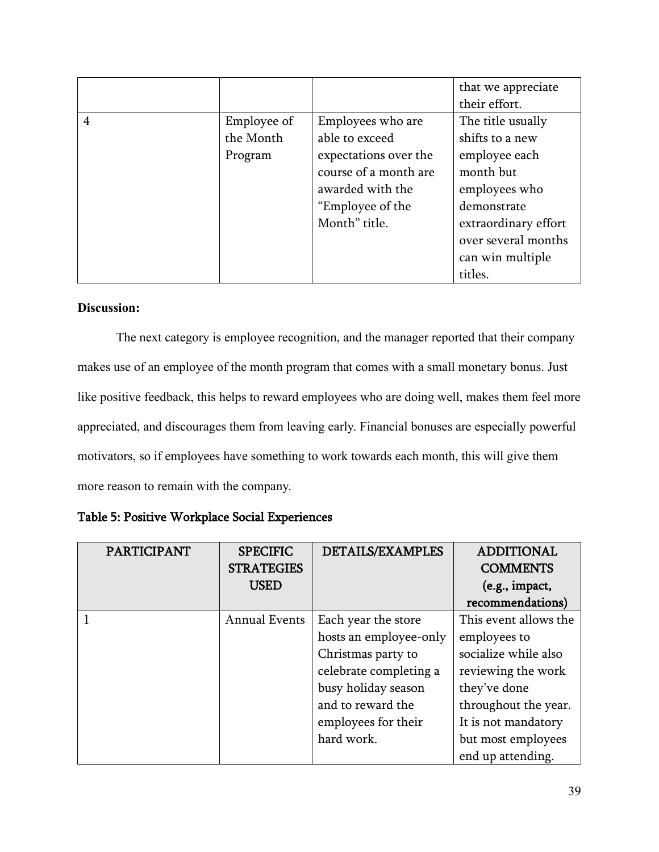|   |             |                       | that we appreciate   |
|---|-------------|-----------------------|----------------------|
|   |             |                       | their effort.        |
| 4 | Employee of | Employees who are     | The title usually    |
|   | the Month   | able to exceed        | shifts to a new      |
|   | Program     | expectations over the | employee each        |
|   |             | course of a month are | month but            |
|   |             | awarded with the      | employees who        |
|   |             | "Employee of the      | demonstrate          |
|   |             | Month" title.         | extraordinary effort |
|   |             |                       | over several months  |
|   |             |                       | can win multiple     |
|   |             |                       | titles.              |

The next category is employee recognition, and the manager reported that their company makes use of an employee of the month program that comes with a small monetary bonus. Just like positive feedback, this helps to reward employees who are doing well, makes them feel more appreciated, and discourages them from leaving early. Financial bonuses are especially powerful motivators, so if employees have something to work towards each month, this will give them more reason to remain with the company.

| <b>PARTICIPANT</b> | <b>SPECIFIC</b>      | <b>DETAILS/EXAMPLES</b> | <b>ADDITIONAL</b>     |
|--------------------|----------------------|-------------------------|-----------------------|
|                    | <b>STRATEGIES</b>    |                         | <b>COMMENTS</b>       |
|                    | <b>USED</b>          |                         | (e.g., impact,        |
|                    |                      |                         | recommendations)      |
|                    | <b>Annual Events</b> | Each year the store     | This event allows the |
|                    |                      | hosts an employee-only  | employees to          |
|                    |                      | Christmas party to      | socialize while also  |
|                    |                      | celebrate completing a  | reviewing the work    |
|                    |                      | busy holiday season     | they've done          |
|                    |                      | and to reward the       | throughout the year.  |
|                    |                      | employees for their     | It is not mandatory   |
|                    |                      | hard work.              | but most employees    |
|                    |                      |                         | end up attending.     |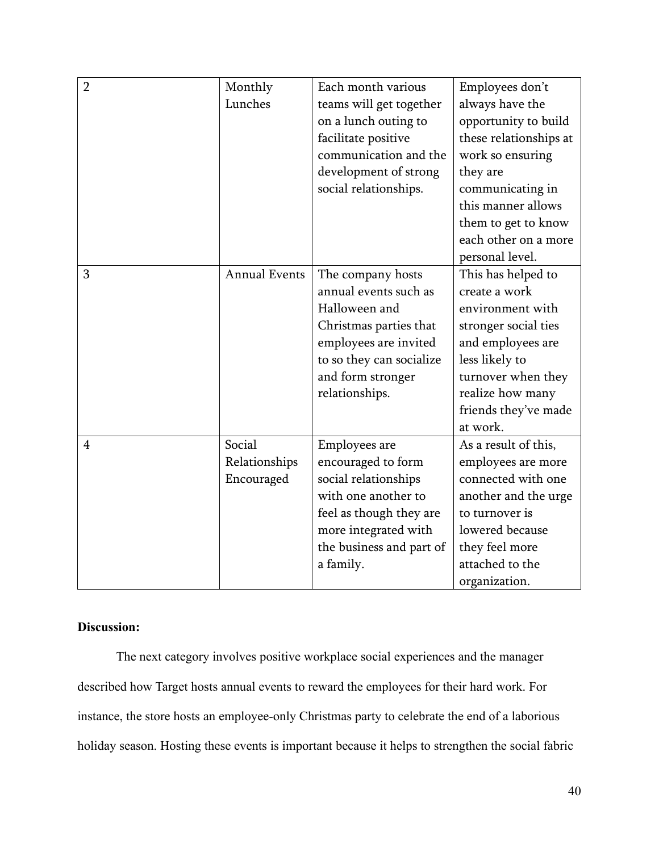| $\overline{2}$ | Monthly              | Each month various       | Employees don't        |
|----------------|----------------------|--------------------------|------------------------|
|                | Lunches              | teams will get together  | always have the        |
|                |                      | on a lunch outing to     | opportunity to build   |
|                |                      | facilitate positive      | these relationships at |
|                |                      | communication and the    | work so ensuring       |
|                |                      | development of strong    | they are               |
|                |                      | social relationships.    | communicating in       |
|                |                      |                          | this manner allows     |
|                |                      |                          | them to get to know    |
|                |                      |                          | each other on a more   |
|                |                      |                          | personal level.        |
| 3              | <b>Annual Events</b> | The company hosts        | This has helped to     |
|                |                      | annual events such as    | create a work          |
|                |                      | Halloween and            | environment with       |
|                |                      | Christmas parties that   | stronger social ties   |
|                |                      | employees are invited    | and employees are      |
|                |                      | to so they can socialize | less likely to         |
|                |                      | and form stronger        | turnover when they     |
|                |                      | relationships.           | realize how many       |
|                |                      |                          | friends they've made   |
|                |                      |                          | at work.               |
| $\overline{4}$ | Social               | Employees are            | As a result of this,   |
|                | Relationships        | encouraged to form       | employees are more     |
|                | Encouraged           | social relationships     | connected with one     |
|                |                      | with one another to      | another and the urge   |
|                |                      | feel as though they are  | to turnover is         |
|                |                      | more integrated with     | lowered because        |
|                |                      | the business and part of | they feel more         |
|                |                      | a family.                | attached to the        |
|                |                      |                          | organization.          |

The next category involves positive workplace social experiences and the manager described how Target hosts annual events to reward the employees for their hard work. For instance, the store hosts an employee-only Christmas party to celebrate the end of a laborious holiday season. Hosting these events is important because it helps to strengthen the social fabric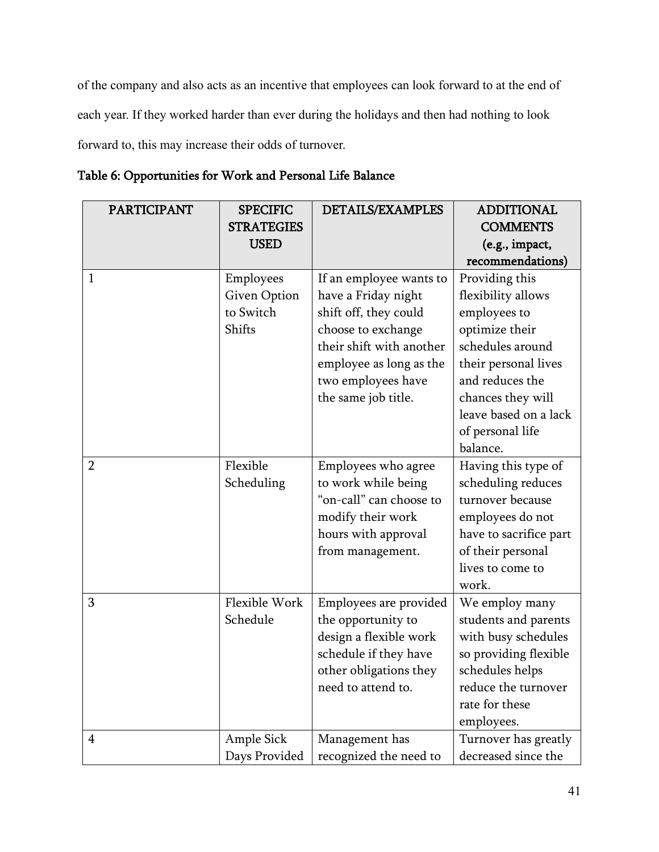of the company and also acts as an incentive that employees can look forward to at the end of each year. If they worked harder than ever during the holidays and then had nothing to look forward to, this may increase their odds of turnover.

| <b>PARTICIPANT</b> | <b>SPECIFIC</b>     | <b>DETAILS/EXAMPLES</b>  | <b>ADDITIONAL</b>      |
|--------------------|---------------------|--------------------------|------------------------|
|                    | <b>STRATEGIES</b>   |                          | <b>COMMENTS</b>        |
|                    | <b>USED</b>         |                          | (e.g., impact,         |
|                    |                     |                          | recommendations)       |
| 1                  | Employees           | If an employee wants to  | Providing this         |
|                    | <b>Given Option</b> | have a Friday night      | flexibility allows     |
|                    | to Switch           | shift off, they could    | employees to           |
|                    | Shifts              | choose to exchange       | optimize their         |
|                    |                     | their shift with another | schedules around       |
|                    |                     | employee as long as the  | their personal lives   |
|                    |                     | two employees have       | and reduces the        |
|                    |                     | the same job title.      | chances they will      |
|                    |                     |                          | leave based on a lack  |
|                    |                     |                          | of personal life       |
|                    |                     |                          | balance.               |
| $\overline{2}$     | Flexible            | Employees who agree      | Having this type of    |
|                    | Scheduling          | to work while being      | scheduling reduces     |
|                    |                     | "on-call" can choose to  | turnover because       |
|                    |                     | modify their work        | employees do not       |
|                    |                     | hours with approval      | have to sacrifice part |
|                    |                     | from management.         | of their personal      |
|                    |                     |                          | lives to come to       |
|                    |                     |                          | work.                  |
| 3                  | Flexible Work       | Employees are provided   | We employ many         |
|                    | Schedule            | the opportunity to       | students and parents   |
|                    |                     | design a flexible work   | with busy schedules    |
|                    |                     | schedule if they have    | so providing flexible  |
|                    |                     | other obligations they   | schedules helps        |
|                    |                     | need to attend to.       | reduce the turnover    |
|                    |                     |                          | rate for these         |
|                    |                     |                          | employees.             |
| 4                  | Ample Sick          | Management has           | Turnover has greatly   |
|                    | Days Provided       | recognized the need to   | decreased since the    |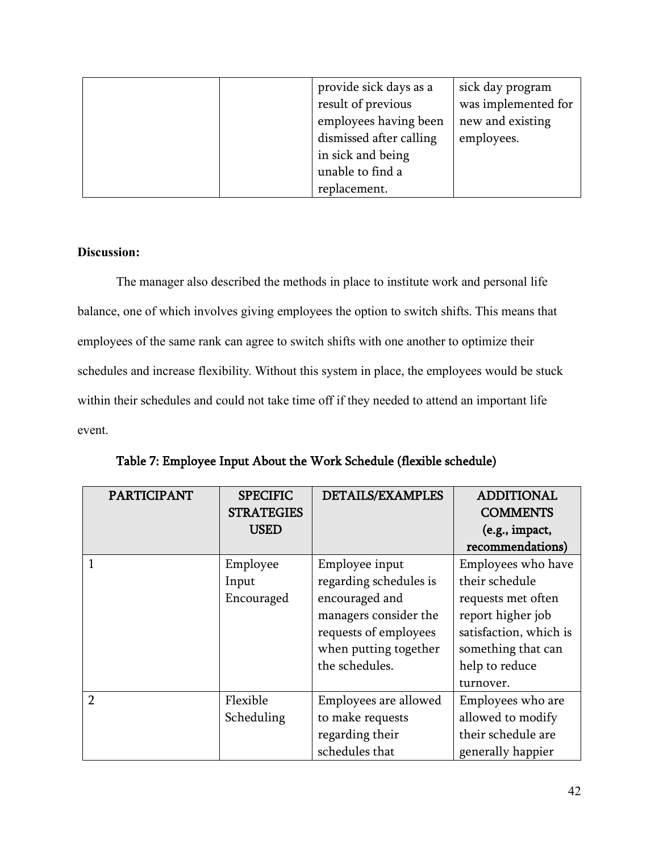|  | provide sick days as a  | sick day program    |
|--|-------------------------|---------------------|
|  | result of previous      | was implemented for |
|  | employees having been   | new and existing    |
|  | dismissed after calling | employees.          |
|  | in sick and being       |                     |
|  | unable to find a        |                     |
|  | replacement.            |                     |

The manager also described the methods in place to institute work and personal life balance, one of which involves giving employees the option to switch shifts. This means that employees of the same rank can agree to switch shifts with one another to optimize their schedules and increase flexibility. Without this system in place, the employees would be stuck within their schedules and could not take time off if they needed to attend an important life event.

| <b>PARTICIPANT</b> | <b>SPECIFIC</b>   | <b>DETAILS/EXAMPLES</b> | <b>ADDITIONAL</b>      |
|--------------------|-------------------|-------------------------|------------------------|
|                    | <b>STRATEGIES</b> |                         | <b>COMMENTS</b>        |
|                    | <b>USED</b>       |                         | (e.g., impact,         |
|                    |                   |                         | recommendations)       |
|                    | Employee          | Employee input          | Employees who have     |
|                    | Input             | regarding schedules is  | their schedule         |
|                    | Encouraged        | encouraged and          | requests met often     |
|                    |                   | managers consider the   | report higher job      |
|                    |                   | requests of employees   | satisfaction, which is |
|                    |                   | when putting together   | something that can     |
|                    |                   | the schedules.          | help to reduce         |
|                    |                   |                         | turnover.              |
| $\overline{2}$     | Flexible          | Employees are allowed   | Employees who are      |
|                    | Scheduling        | to make requests        | allowed to modify      |
|                    |                   | regarding their         | their schedule are     |
|                    |                   | schedules that          | generally happier      |

Table 7: Employee Input About the Work Schedule (flexible schedule)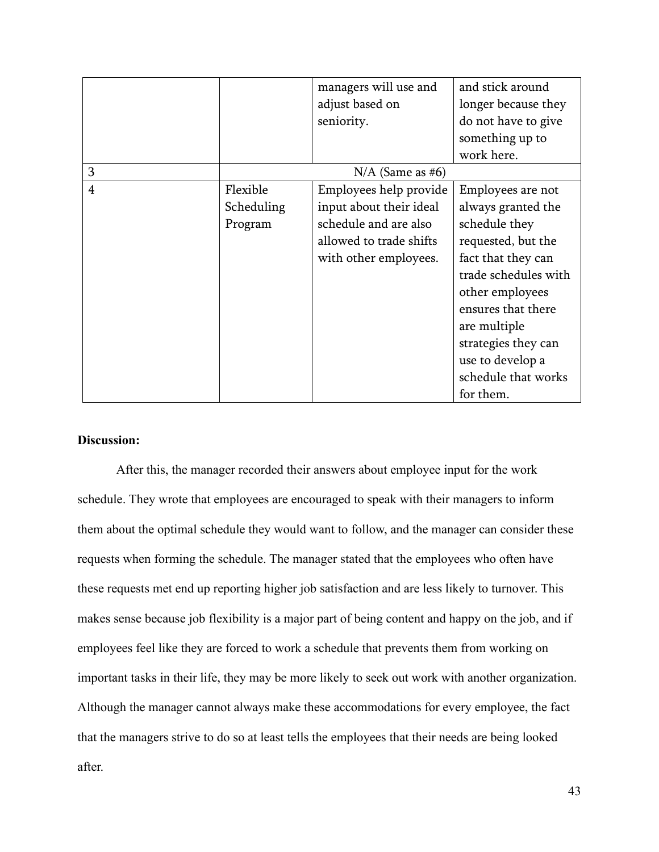|   |            | managers will use and   | and stick around     |
|---|------------|-------------------------|----------------------|
|   |            | adjust based on         | longer because they  |
|   |            | seniority.              | do not have to give  |
|   |            |                         | something up to      |
|   |            |                         | work here.           |
| 3 |            | $N/A$ (Same as #6)      |                      |
| 4 | Flexible   | Employees help provide  | Employees are not    |
|   | Scheduling | input about their ideal | always granted the   |
|   | Program    | schedule and are also   | schedule they        |
|   |            | allowed to trade shifts | requested, but the   |
|   |            | with other employees.   | fact that they can   |
|   |            |                         | trade schedules with |
|   |            |                         | other employees      |
|   |            |                         | ensures that there   |
|   |            |                         | are multiple         |
|   |            |                         | strategies they can  |
|   |            |                         | use to develop a     |
|   |            |                         | schedule that works  |
|   |            |                         | for them.            |

After this, the manager recorded their answers about employee input for the work schedule. They wrote that employees are encouraged to speak with their managers to inform them about the optimal schedule they would want to follow, and the manager can consider these requests when forming the schedule. The manager stated that the employees who often have these requests met end up reporting higher job satisfaction and are less likely to turnover. This makes sense because job flexibility is a major part of being content and happy on the job, and if employees feel like they are forced to work a schedule that prevents them from working on important tasks in their life, they may be more likely to seek out work with another organization. Although the manager cannot always make these accommodations for every employee, the fact that the managers strive to do so at least tells the employees that their needs are being looked after.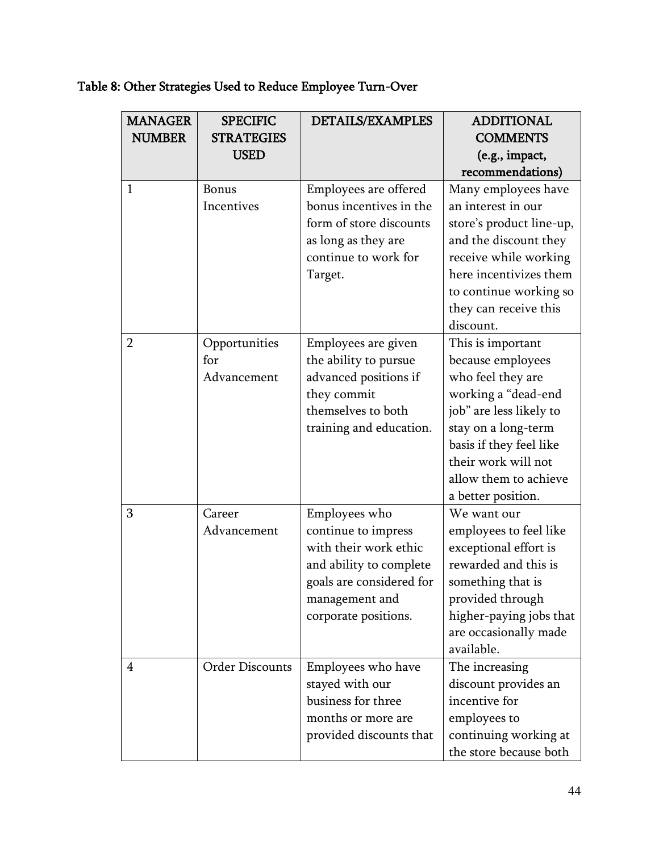# Table 8: Other Strategies Used to Reduce Employee Turn-Over

| <b>MANAGER</b><br><b>NUMBER</b> | <b>SPECIFIC</b><br><b>STRATEGIES</b><br><b>USED</b> | <b>DETAILS/EXAMPLES</b>  | <b>ADDITIONAL</b><br><b>COMMENTS</b><br>(e.g., impact, |
|---------------------------------|-----------------------------------------------------|--------------------------|--------------------------------------------------------|
|                                 |                                                     |                          | recommendations)                                       |
| $\mathbf{1}$                    | <b>Bonus</b>                                        | Employees are offered    | Many employees have                                    |
|                                 | Incentives                                          | bonus incentives in the  | an interest in our                                     |
|                                 |                                                     | form of store discounts  | store's product line-up,                               |
|                                 |                                                     | as long as they are      | and the discount they                                  |
|                                 |                                                     | continue to work for     | receive while working                                  |
|                                 |                                                     | Target.                  | here incentivizes them                                 |
|                                 |                                                     |                          | to continue working so                                 |
|                                 |                                                     |                          | they can receive this                                  |
|                                 |                                                     |                          | discount.                                              |
| $\overline{2}$                  | Opportunities                                       | Employees are given      | This is important                                      |
|                                 | for                                                 | the ability to pursue    | because employees                                      |
|                                 | Advancement                                         | advanced positions if    | who feel they are                                      |
|                                 |                                                     | they commit              | working a "dead-end                                    |
|                                 |                                                     | themselves to both       | job" are less likely to                                |
|                                 |                                                     | training and education.  | stay on a long-term                                    |
|                                 |                                                     |                          | basis if they feel like                                |
|                                 |                                                     |                          | their work will not                                    |
|                                 |                                                     |                          | allow them to achieve                                  |
|                                 |                                                     |                          | a better position.                                     |
| 3                               | Career                                              | Employees who            | We want our                                            |
|                                 | Advancement                                         | continue to impress      | employees to feel like                                 |
|                                 |                                                     | with their work ethic    | exceptional effort is                                  |
|                                 |                                                     | and ability to complete  | rewarded and this is                                   |
|                                 |                                                     | goals are considered for | something that is                                      |
|                                 |                                                     | management and           | provided through                                       |
|                                 |                                                     | corporate positions.     | higher-paying jobs that                                |
|                                 |                                                     |                          | are occasionally made                                  |
|                                 |                                                     |                          | available.                                             |
| 4                               | <b>Order Discounts</b>                              | Employees who have       | The increasing                                         |
|                                 |                                                     | stayed with our          | discount provides an                                   |
|                                 |                                                     | business for three       | incentive for                                          |
|                                 |                                                     | months or more are       | employees to                                           |
|                                 |                                                     | provided discounts that  | continuing working at                                  |
|                                 |                                                     |                          | the store because both                                 |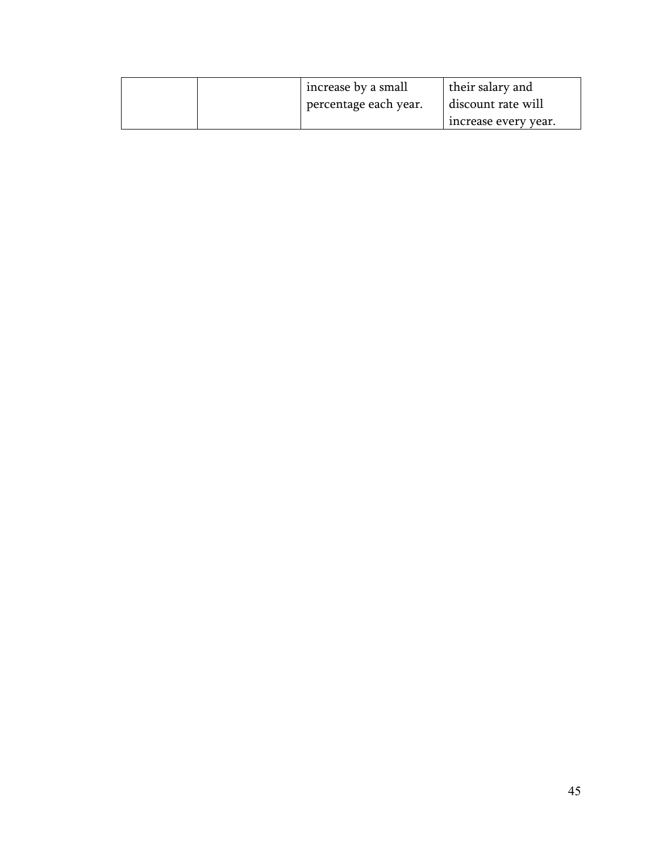| increase by a small   | their salary and     |
|-----------------------|----------------------|
| percentage each year. | discount rate will   |
|                       | increase every year. |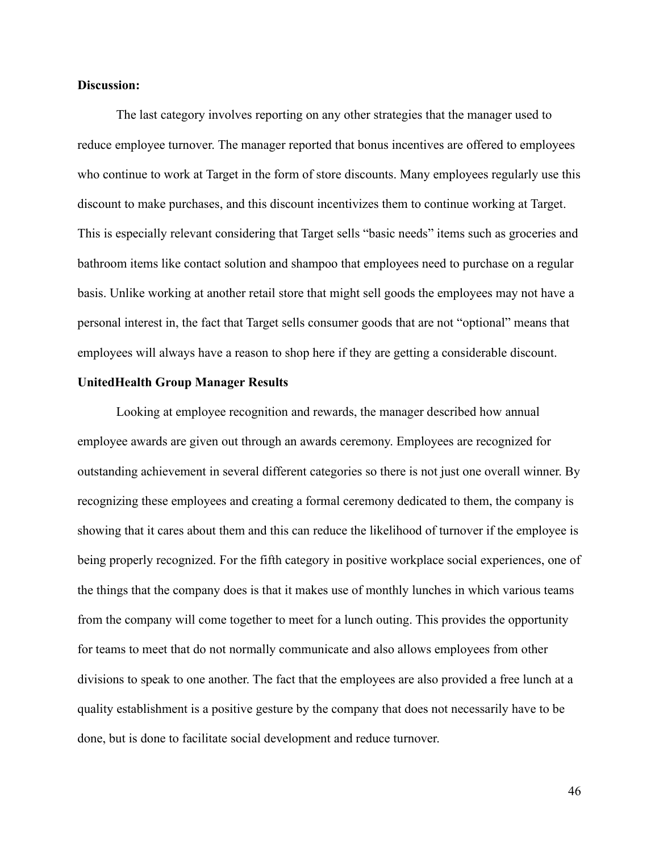The last category involves reporting on any other strategies that the manager used to reduce employee turnover. The manager reported that bonus incentives are offered to employees who continue to work at Target in the form of store discounts. Many employees regularly use this discount to make purchases, and this discount incentivizes them to continue working at Target. This is especially relevant considering that Target sells "basic needs" items such as groceries and bathroom items like contact solution and shampoo that employees need to purchase on a regular basis. Unlike working at another retail store that might sell goods the employees may not have a personal interest in, the fact that Target sells consumer goods that are not "optional" means that employees will always have a reason to shop here if they are getting a considerable discount.

## **UnitedHealth Group Manager Results**

Looking at employee recognition and rewards, the manager described how annual employee awards are given out through an awards ceremony. Employees are recognized for outstanding achievement in several different categories so there is not just one overall winner. By recognizing these employees and creating a formal ceremony dedicated to them, the company is showing that it cares about them and this can reduce the likelihood of turnover if the employee is being properly recognized. For the fifth category in positive workplace social experiences, one of the things that the company does is that it makes use of monthly lunches in which various teams from the company will come together to meet for a lunch outing. This provides the opportunity for teams to meet that do not normally communicate and also allows employees from other divisions to speak to one another. The fact that the employees are also provided a free lunch at a quality establishment is a positive gesture by the company that does not necessarily have to be done, but is done to facilitate social development and reduce turnover.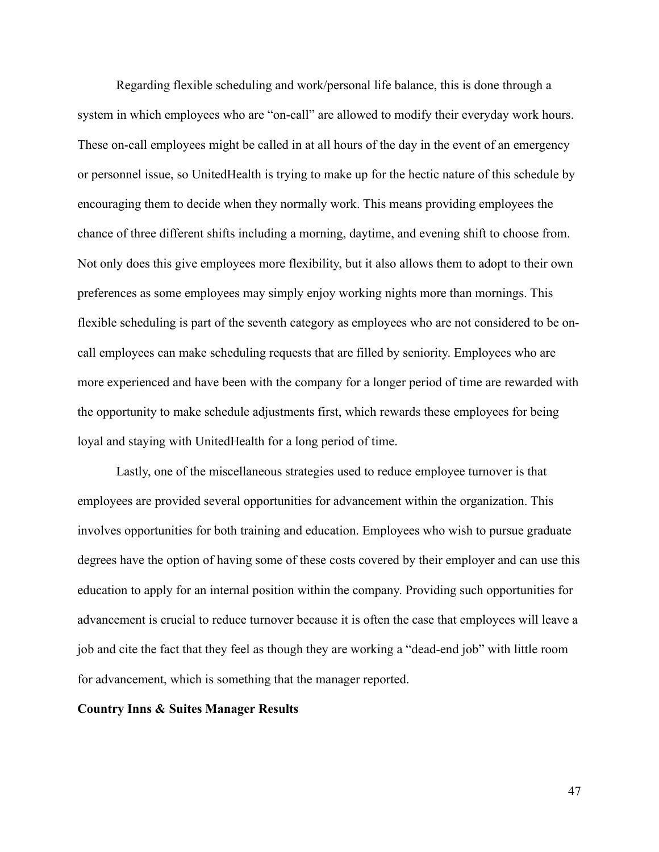Regarding flexible scheduling and work/personal life balance, this is done through a system in which employees who are "on-call" are allowed to modify their everyday work hours. These on-call employees might be called in at all hours of the day in the event of an emergency or personnel issue, so UnitedHealth is trying to make up for the hectic nature of this schedule by encouraging them to decide when they normally work. This means providing employees the chance of three different shifts including a morning, daytime, and evening shift to choose from. Not only does this give employees more flexibility, but it also allows them to adopt to their own preferences as some employees may simply enjoy working nights more than mornings. This flexible scheduling is part of the seventh category as employees who are not considered to be oncall employees can make scheduling requests that are filled by seniority. Employees who are more experienced and have been with the company for a longer period of time are rewarded with the opportunity to make schedule adjustments first, which rewards these employees for being loyal and staying with UnitedHealth for a long period of time.

Lastly, one of the miscellaneous strategies used to reduce employee turnover is that employees are provided several opportunities for advancement within the organization. This involves opportunities for both training and education. Employees who wish to pursue graduate degrees have the option of having some of these costs covered by their employer and can use this education to apply for an internal position within the company. Providing such opportunities for advancement is crucial to reduce turnover because it is often the case that employees will leave a job and cite the fact that they feel as though they are working a "dead-end job" with little room for advancement, which is something that the manager reported.

# **Country Inns & Suites Manager Results**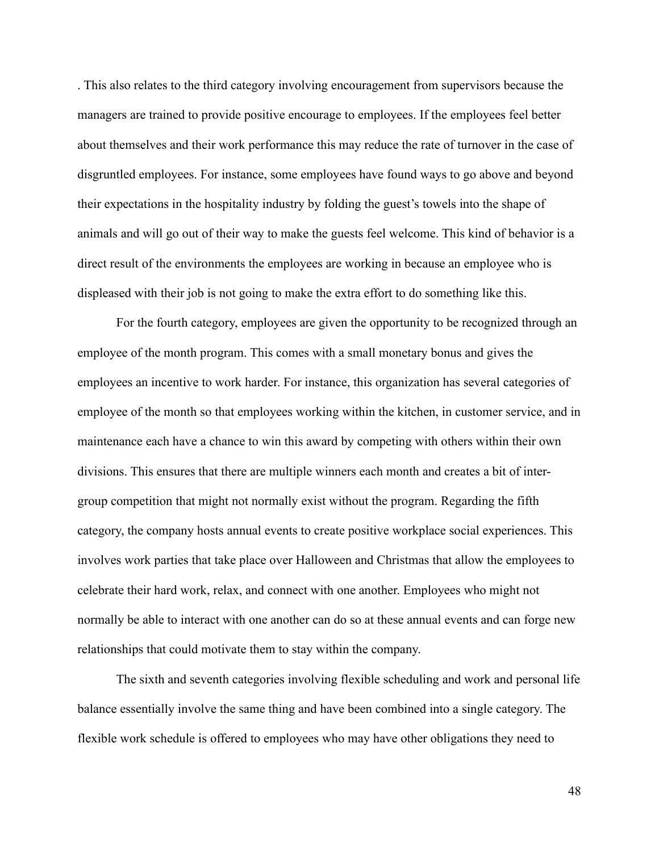. This also relates to the third category involving encouragement from supervisors because the managers are trained to provide positive encourage to employees. If the employees feel better about themselves and their work performance this may reduce the rate of turnover in the case of disgruntled employees. For instance, some employees have found ways to go above and beyond their expectations in the hospitality industry by folding the guest's towels into the shape of animals and will go out of their way to make the guests feel welcome. This kind of behavior is a direct result of the environments the employees are working in because an employee who is displeased with their job is not going to make the extra effort to do something like this.

For the fourth category, employees are given the opportunity to be recognized through an employee of the month program. This comes with a small monetary bonus and gives the employees an incentive to work harder. For instance, this organization has several categories of employee of the month so that employees working within the kitchen, in customer service, and in maintenance each have a chance to win this award by competing with others within their own divisions. This ensures that there are multiple winners each month and creates a bit of intergroup competition that might not normally exist without the program. Regarding the fifth category, the company hosts annual events to create positive workplace social experiences. This involves work parties that take place over Halloween and Christmas that allow the employees to celebrate their hard work, relax, and connect with one another. Employees who might not normally be able to interact with one another can do so at these annual events and can forge new relationships that could motivate them to stay within the company.

The sixth and seventh categories involving flexible scheduling and work and personal life balance essentially involve the same thing and have been combined into a single category. The flexible work schedule is offered to employees who may have other obligations they need to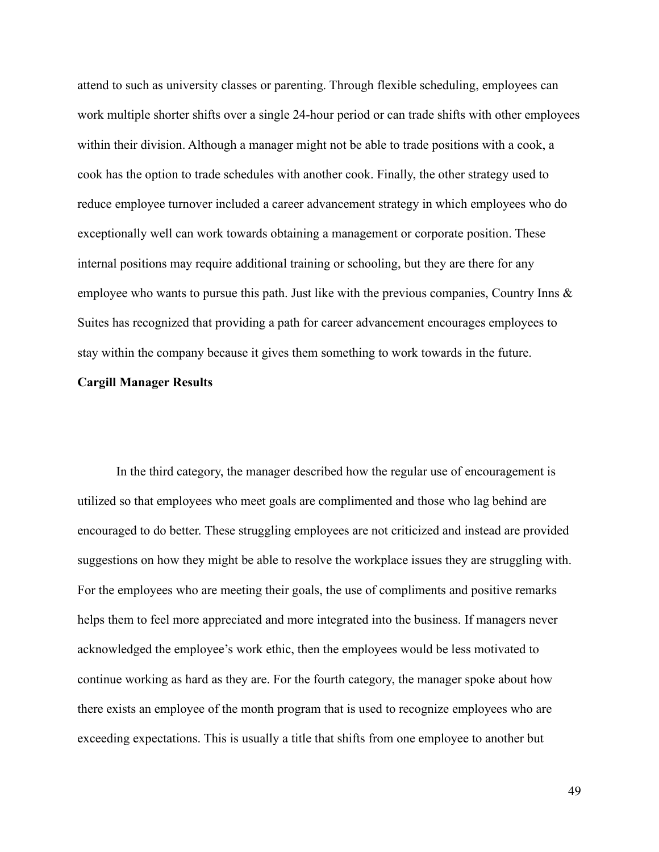attend to such as university classes or parenting. Through flexible scheduling, employees can work multiple shorter shifts over a single 24-hour period or can trade shifts with other employees within their division. Although a manager might not be able to trade positions with a cook, a cook has the option to trade schedules with another cook. Finally, the other strategy used to reduce employee turnover included a career advancement strategy in which employees who do exceptionally well can work towards obtaining a management or corporate position. These internal positions may require additional training or schooling, but they are there for any employee who wants to pursue this path. Just like with the previous companies, Country Inns  $\&$ Suites has recognized that providing a path for career advancement encourages employees to stay within the company because it gives them something to work towards in the future.

## **Cargill Manager Results**

In the third category, the manager described how the regular use of encouragement is utilized so that employees who meet goals are complimented and those who lag behind are encouraged to do better. These struggling employees are not criticized and instead are provided suggestions on how they might be able to resolve the workplace issues they are struggling with. For the employees who are meeting their goals, the use of compliments and positive remarks helps them to feel more appreciated and more integrated into the business. If managers never acknowledged the employee's work ethic, then the employees would be less motivated to continue working as hard as they are. For the fourth category, the manager spoke about how there exists an employee of the month program that is used to recognize employees who are exceeding expectations. This is usually a title that shifts from one employee to another but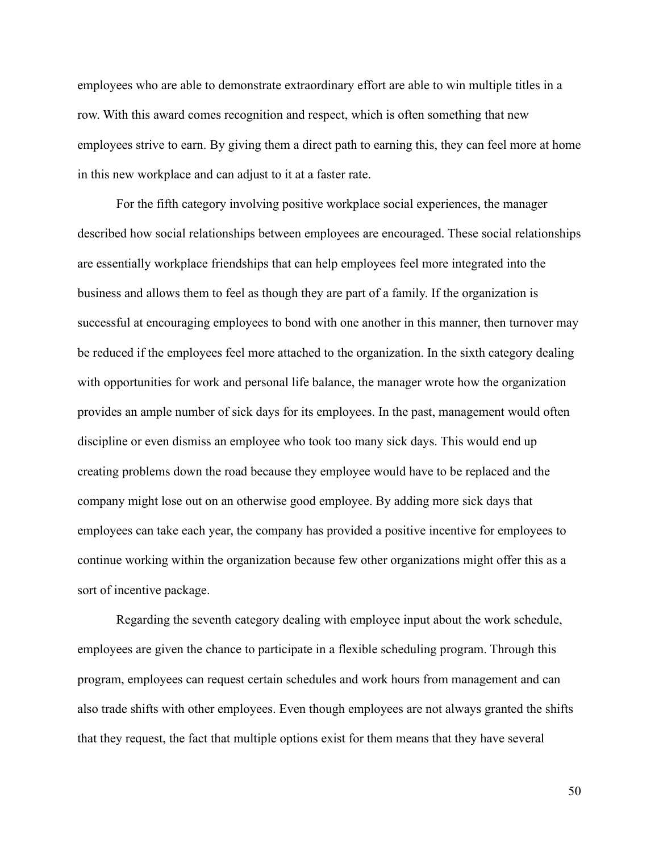employees who are able to demonstrate extraordinary effort are able to win multiple titles in a row. With this award comes recognition and respect, which is often something that new employees strive to earn. By giving them a direct path to earning this, they can feel more at home in this new workplace and can adjust to it at a faster rate.

For the fifth category involving positive workplace social experiences, the manager described how social relationships between employees are encouraged. These social relationships are essentially workplace friendships that can help employees feel more integrated into the business and allows them to feel as though they are part of a family. If the organization is successful at encouraging employees to bond with one another in this manner, then turnover may be reduced if the employees feel more attached to the organization. In the sixth category dealing with opportunities for work and personal life balance, the manager wrote how the organization provides an ample number of sick days for its employees. In the past, management would often discipline or even dismiss an employee who took too many sick days. This would end up creating problems down the road because they employee would have to be replaced and the company might lose out on an otherwise good employee. By adding more sick days that employees can take each year, the company has provided a positive incentive for employees to continue working within the organization because few other organizations might offer this as a sort of incentive package.

Regarding the seventh category dealing with employee input about the work schedule, employees are given the chance to participate in a flexible scheduling program. Through this program, employees can request certain schedules and work hours from management and can also trade shifts with other employees. Even though employees are not always granted the shifts that they request, the fact that multiple options exist for them means that they have several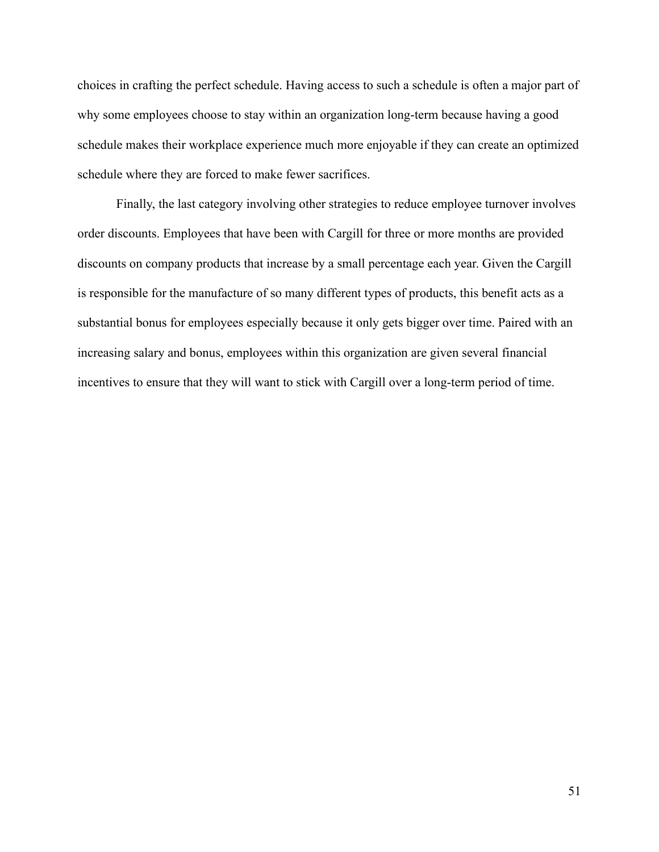choices in crafting the perfect schedule. Having access to such a schedule is often a major part of why some employees choose to stay within an organization long-term because having a good schedule makes their workplace experience much more enjoyable if they can create an optimized schedule where they are forced to make fewer sacrifices.

Finally, the last category involving other strategies to reduce employee turnover involves order discounts. Employees that have been with Cargill for three or more months are provided discounts on company products that increase by a small percentage each year. Given the Cargill is responsible for the manufacture of so many different types of products, this benefit acts as a substantial bonus for employees especially because it only gets bigger over time. Paired with an increasing salary and bonus, employees within this organization are given several financial incentives to ensure that they will want to stick with Cargill over a long-term period of time.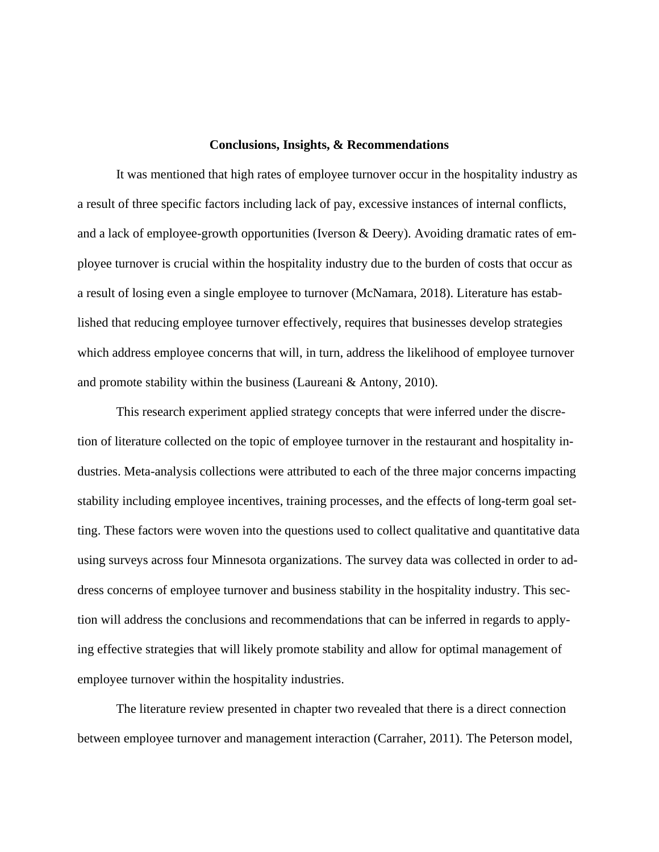#### **Conclusions, Insights, & Recommendations**

It was mentioned that high rates of employee turnover occur in the hospitality industry as a result of three specific factors including lack of pay, excessive instances of internal conflicts, and a lack of employee-growth opportunities (Iverson & Deery). Avoiding dramatic rates of employee turnover is crucial within the hospitality industry due to the burden of costs that occur as a result of losing even a single employee to turnover (McNamara, 2018). Literature has established that reducing employee turnover effectively, requires that businesses develop strategies which address employee concerns that will, in turn, address the likelihood of employee turnover and promote stability within the business (Laureani & Antony, 2010).

This research experiment applied strategy concepts that were inferred under the discretion of literature collected on the topic of employee turnover in the restaurant and hospitality industries. Meta-analysis collections were attributed to each of the three major concerns impacting stability including employee incentives, training processes, and the effects of long-term goal setting. These factors were woven into the questions used to collect qualitative and quantitative data using surveys across four Minnesota organizations. The survey data was collected in order to address concerns of employee turnover and business stability in the hospitality industry. This section will address the conclusions and recommendations that can be inferred in regards to applying effective strategies that will likely promote stability and allow for optimal management of employee turnover within the hospitality industries.

The literature review presented in chapter two revealed that there is a direct connection between employee turnover and management interaction (Carraher, 2011). The Peterson model,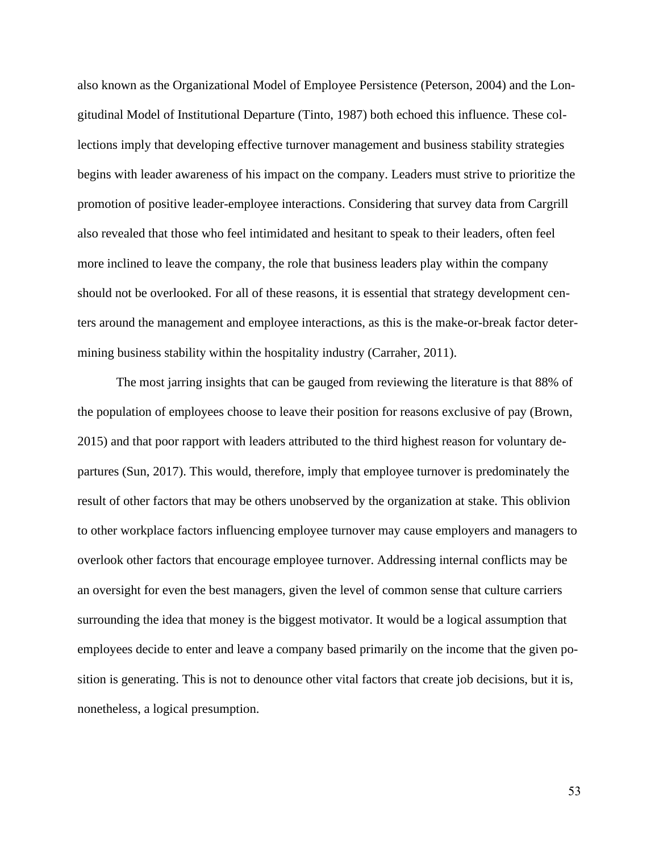also known as the Organizational Model of Employee Persistence (Peterson, 2004) and the Longitudinal Model of Institutional Departure (Tinto, 1987) both echoed this influence. These collections imply that developing effective turnover management and business stability strategies begins with leader awareness of his impact on the company. Leaders must strive to prioritize the promotion of positive leader-employee interactions. Considering that survey data from Cargrill also revealed that those who feel intimidated and hesitant to speak to their leaders, often feel more inclined to leave the company, the role that business leaders play within the company should not be overlooked. For all of these reasons, it is essential that strategy development centers around the management and employee interactions, as this is the make-or-break factor determining business stability within the hospitality industry (Carraher, 2011).

The most jarring insights that can be gauged from reviewing the literature is that 88% of the population of employees choose to leave their position for reasons exclusive of pay (Brown, 2015) and that poor rapport with leaders attributed to the third highest reason for voluntary departures (Sun, 2017). This would, therefore, imply that employee turnover is predominately the result of other factors that may be others unobserved by the organization at stake. This oblivion to other workplace factors influencing employee turnover may cause employers and managers to overlook other factors that encourage employee turnover. Addressing internal conflicts may be an oversight for even the best managers, given the level of common sense that culture carriers surrounding the idea that money is the biggest motivator. It would be a logical assumption that employees decide to enter and leave a company based primarily on the income that the given position is generating. This is not to denounce other vital factors that create job decisions, but it is, nonetheless, a logical presumption.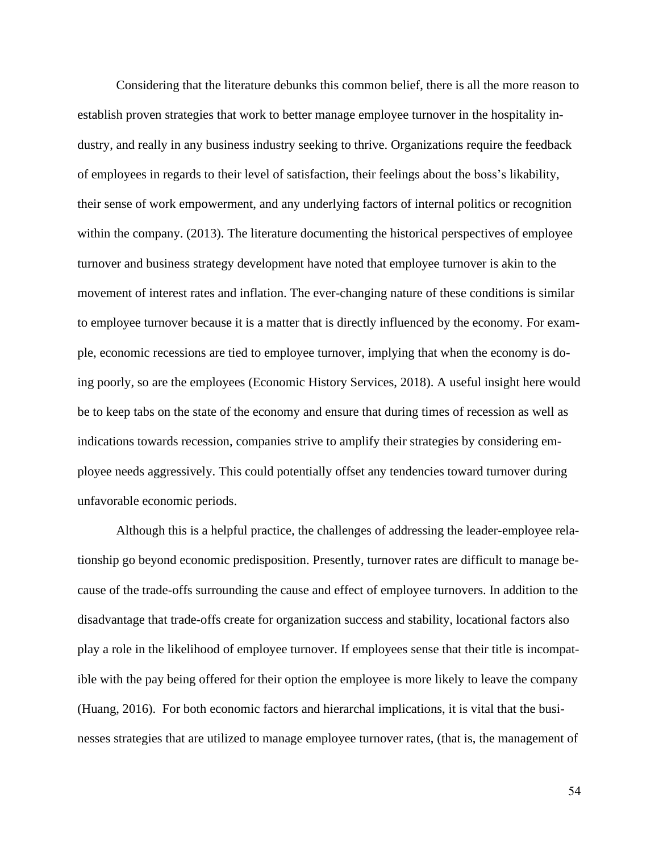Considering that the literature debunks this common belief, there is all the more reason to establish proven strategies that work to better manage employee turnover in the hospitality industry, and really in any business industry seeking to thrive. Organizations require the feedback of employees in regards to their level of satisfaction, their feelings about the boss's likability, their sense of work empowerment, and any underlying factors of internal politics or recognition within the company. (2013). The literature documenting the historical perspectives of employee turnover and business strategy development have noted that employee turnover is akin to the movement of interest rates and inflation. The ever-changing nature of these conditions is similar to employee turnover because it is a matter that is directly influenced by the economy. For example, economic recessions are tied to employee turnover, implying that when the economy is doing poorly, so are the employees (Economic History Services, 2018). A useful insight here would be to keep tabs on the state of the economy and ensure that during times of recession as well as indications towards recession, companies strive to amplify their strategies by considering employee needs aggressively. This could potentially offset any tendencies toward turnover during unfavorable economic periods.

Although this is a helpful practice, the challenges of addressing the leader-employee relationship go beyond economic predisposition. Presently, turnover rates are difficult to manage because of the trade-offs surrounding the cause and effect of employee turnovers. In addition to the disadvantage that trade-offs create for organization success and stability, locational factors also play a role in the likelihood of employee turnover. If employees sense that their title is incompatible with the pay being offered for their option the employee is more likely to leave the company (Huang, 2016). For both economic factors and hierarchal implications, it is vital that the businesses strategies that are utilized to manage employee turnover rates, (that is, the management of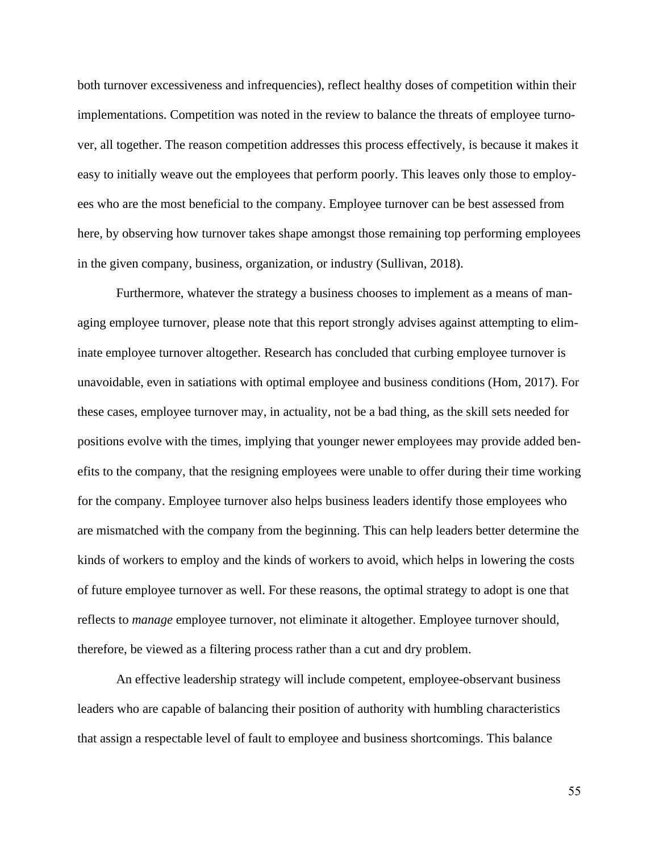both turnover excessiveness and infrequencies), reflect healthy doses of competition within their implementations. Competition was noted in the review to balance the threats of employee turnover, all together. The reason competition addresses this process effectively, is because it makes it easy to initially weave out the employees that perform poorly. This leaves only those to employees who are the most beneficial to the company. Employee turnover can be best assessed from here, by observing how turnover takes shape amongst those remaining top performing employees in the given company, business, organization, or industry (Sullivan, 2018).

Furthermore, whatever the strategy a business chooses to implement as a means of managing employee turnover, please note that this report strongly advises against attempting to eliminate employee turnover altogether. Research has concluded that curbing employee turnover is unavoidable, even in satiations with optimal employee and business conditions (Hom, 2017). For these cases, employee turnover may, in actuality, not be a bad thing, as the skill sets needed for positions evolve with the times, implying that younger newer employees may provide added benefits to the company, that the resigning employees were unable to offer during their time working for the company. Employee turnover also helps business leaders identify those employees who are mismatched with the company from the beginning. This can help leaders better determine the kinds of workers to employ and the kinds of workers to avoid, which helps in lowering the costs of future employee turnover as well. For these reasons, the optimal strategy to adopt is one that reflects to *manage* employee turnover, not eliminate it altogether. Employee turnover should, therefore, be viewed as a filtering process rather than a cut and dry problem.

An effective leadership strategy will include competent, employee-observant business leaders who are capable of balancing their position of authority with humbling characteristics that assign a respectable level of fault to employee and business shortcomings. This balance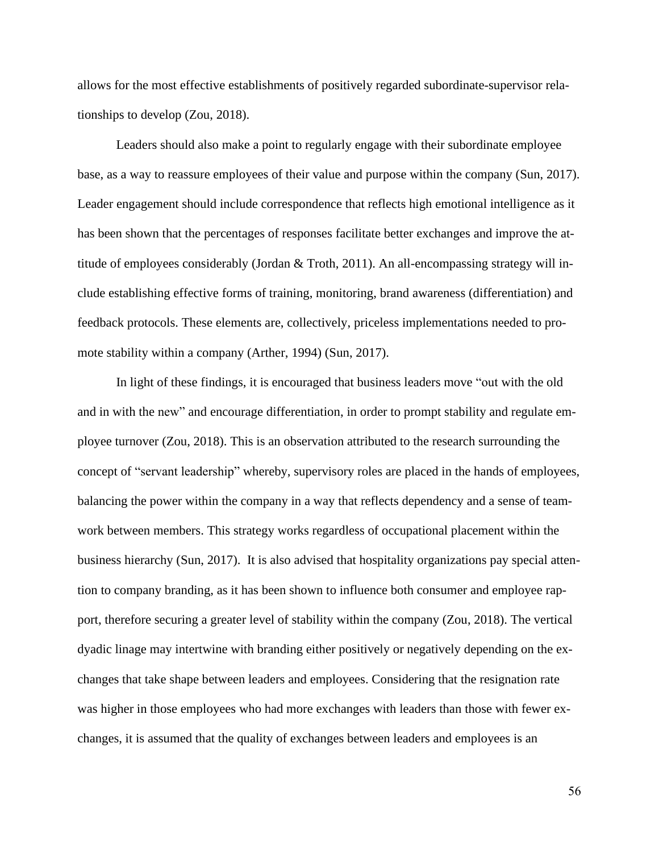allows for the most effective establishments of positively regarded subordinate-supervisor relationships to develop (Zou, 2018).

Leaders should also make a point to regularly engage with their subordinate employee base, as a way to reassure employees of their value and purpose within the company (Sun, 2017). Leader engagement should include correspondence that reflects high emotional intelligence as it has been shown that the percentages of responses facilitate better exchanges and improve the attitude of employees considerably (Jordan & Troth, 2011). An all-encompassing strategy will include establishing effective forms of training, monitoring, brand awareness (differentiation) and feedback protocols. These elements are, collectively, priceless implementations needed to promote stability within a company (Arther, 1994) (Sun, 2017).

In light of these findings, it is encouraged that business leaders move "out with the old and in with the new" and encourage differentiation, in order to prompt stability and regulate employee turnover (Zou, 2018). This is an observation attributed to the research surrounding the concept of "servant leadership" whereby, supervisory roles are placed in the hands of employees, balancing the power within the company in a way that reflects dependency and a sense of teamwork between members. This strategy works regardless of occupational placement within the business hierarchy (Sun, 2017). It is also advised that hospitality organizations pay special attention to company branding, as it has been shown to influence both consumer and employee rapport, therefore securing a greater level of stability within the company (Zou, 2018). The vertical dyadic linage may intertwine with branding either positively or negatively depending on the exchanges that take shape between leaders and employees. Considering that the resignation rate was higher in those employees who had more exchanges with leaders than those with fewer exchanges, it is assumed that the quality of exchanges between leaders and employees is an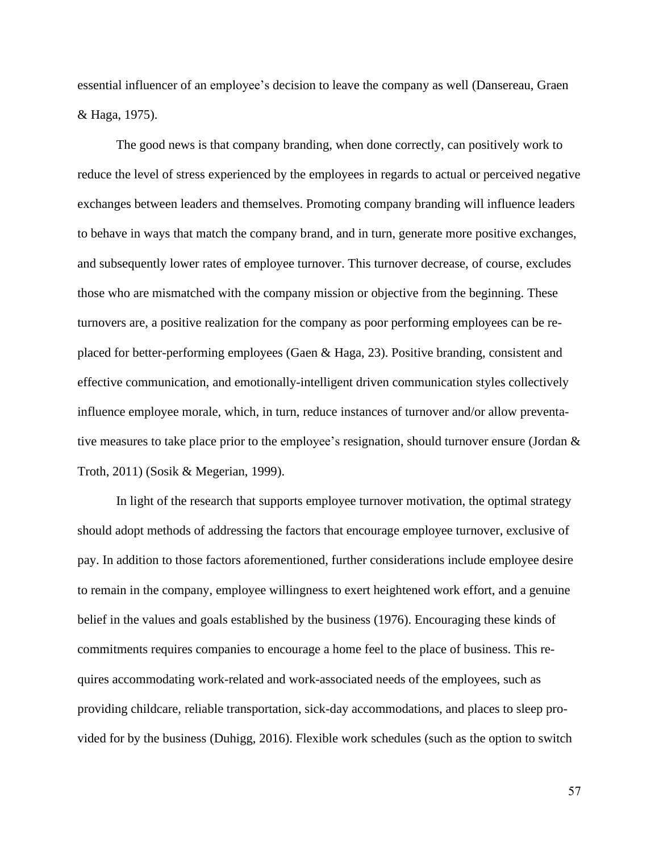essential influencer of an employee's decision to leave the company as well (Dansereau, Graen & Haga, 1975).

The good news is that company branding, when done correctly, can positively work to reduce the level of stress experienced by the employees in regards to actual or perceived negative exchanges between leaders and themselves. Promoting company branding will influence leaders to behave in ways that match the company brand, and in turn, generate more positive exchanges, and subsequently lower rates of employee turnover. This turnover decrease, of course, excludes those who are mismatched with the company mission or objective from the beginning. These turnovers are, a positive realization for the company as poor performing employees can be replaced for better-performing employees (Gaen & Haga, 23). Positive branding, consistent and effective communication, and emotionally-intelligent driven communication styles collectively influence employee morale, which, in turn, reduce instances of turnover and/or allow preventative measures to take place prior to the employee's resignation, should turnover ensure (Jordan & Troth, 2011) (Sosik & Megerian, 1999).

In light of the research that supports employee turnover motivation, the optimal strategy should adopt methods of addressing the factors that encourage employee turnover, exclusive of pay. In addition to those factors aforementioned, further considerations include employee desire to remain in the company, employee willingness to exert heightened work effort, and a genuine belief in the values and goals established by the business (1976). Encouraging these kinds of commitments requires companies to encourage a home feel to the place of business. This requires accommodating work-related and work-associated needs of the employees, such as providing childcare, reliable transportation, sick-day accommodations, and places to sleep provided for by the business (Duhigg, 2016). Flexible work schedules (such as the option to switch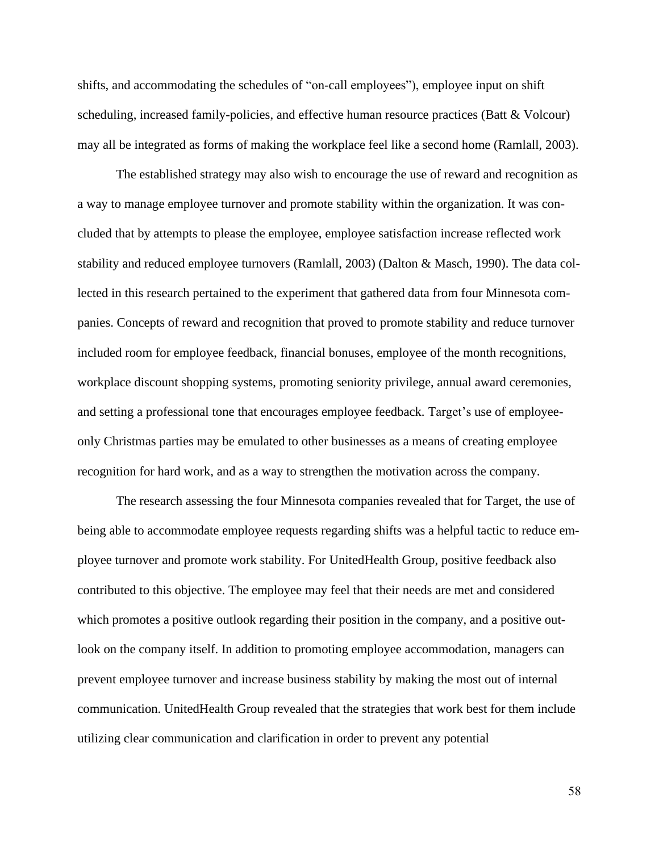shifts, and accommodating the schedules of "on-call employees"), employee input on shift scheduling, increased family-policies, and effective human resource practices (Batt & Volcour) may all be integrated as forms of making the workplace feel like a second home (Ramlall, 2003).

The established strategy may also wish to encourage the use of reward and recognition as a way to manage employee turnover and promote stability within the organization. It was concluded that by attempts to please the employee, employee satisfaction increase reflected work stability and reduced employee turnovers (Ramlall, 2003) (Dalton & Masch, 1990). The data collected in this research pertained to the experiment that gathered data from four Minnesota companies. Concepts of reward and recognition that proved to promote stability and reduce turnover included room for employee feedback, financial bonuses, employee of the month recognitions, workplace discount shopping systems, promoting seniority privilege, annual award ceremonies, and setting a professional tone that encourages employee feedback. Target's use of employeeonly Christmas parties may be emulated to other businesses as a means of creating employee recognition for hard work, and as a way to strengthen the motivation across the company.

The research assessing the four Minnesota companies revealed that for Target, the use of being able to accommodate employee requests regarding shifts was a helpful tactic to reduce employee turnover and promote work stability. For UnitedHealth Group, positive feedback also contributed to this objective. The employee may feel that their needs are met and considered which promotes a positive outlook regarding their position in the company, and a positive outlook on the company itself. In addition to promoting employee accommodation, managers can prevent employee turnover and increase business stability by making the most out of internal communication. UnitedHealth Group revealed that the strategies that work best for them include utilizing clear communication and clarification in order to prevent any potential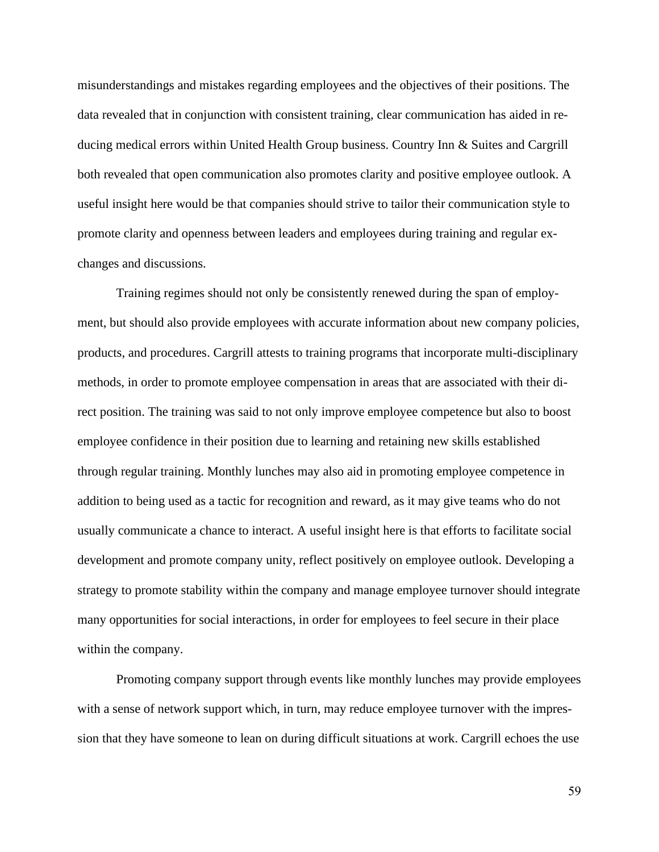misunderstandings and mistakes regarding employees and the objectives of their positions. The data revealed that in conjunction with consistent training, clear communication has aided in reducing medical errors within United Health Group business. Country Inn & Suites and Cargrill both revealed that open communication also promotes clarity and positive employee outlook. A useful insight here would be that companies should strive to tailor their communication style to promote clarity and openness between leaders and employees during training and regular exchanges and discussions.

Training regimes should not only be consistently renewed during the span of employment, but should also provide employees with accurate information about new company policies, products, and procedures. Cargrill attests to training programs that incorporate multi-disciplinary methods, in order to promote employee compensation in areas that are associated with their direct position. The training was said to not only improve employee competence but also to boost employee confidence in their position due to learning and retaining new skills established through regular training. Monthly lunches may also aid in promoting employee competence in addition to being used as a tactic for recognition and reward, as it may give teams who do not usually communicate a chance to interact. A useful insight here is that efforts to facilitate social development and promote company unity, reflect positively on employee outlook. Developing a strategy to promote stability within the company and manage employee turnover should integrate many opportunities for social interactions, in order for employees to feel secure in their place within the company.

Promoting company support through events like monthly lunches may provide employees with a sense of network support which, in turn, may reduce employee turnover with the impression that they have someone to lean on during difficult situations at work. Cargrill echoes the use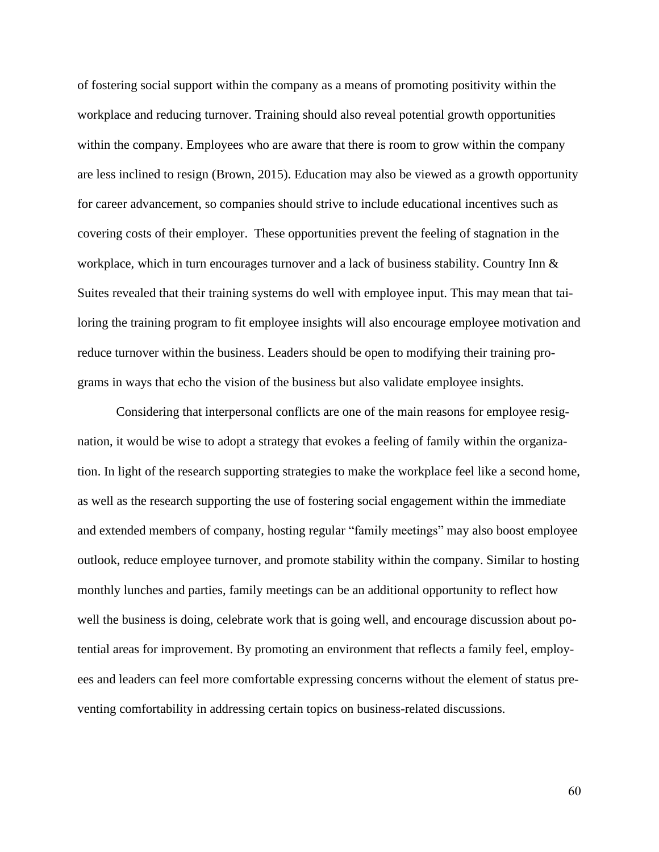of fostering social support within the company as a means of promoting positivity within the workplace and reducing turnover. Training should also reveal potential growth opportunities within the company. Employees who are aware that there is room to grow within the company are less inclined to resign (Brown, 2015). Education may also be viewed as a growth opportunity for career advancement, so companies should strive to include educational incentives such as covering costs of their employer. These opportunities prevent the feeling of stagnation in the workplace, which in turn encourages turnover and a lack of business stability. Country Inn & Suites revealed that their training systems do well with employee input. This may mean that tailoring the training program to fit employee insights will also encourage employee motivation and reduce turnover within the business. Leaders should be open to modifying their training programs in ways that echo the vision of the business but also validate employee insights.

Considering that interpersonal conflicts are one of the main reasons for employee resignation, it would be wise to adopt a strategy that evokes a feeling of family within the organization. In light of the research supporting strategies to make the workplace feel like a second home, as well as the research supporting the use of fostering social engagement within the immediate and extended members of company, hosting regular "family meetings" may also boost employee outlook, reduce employee turnover, and promote stability within the company. Similar to hosting monthly lunches and parties, family meetings can be an additional opportunity to reflect how well the business is doing, celebrate work that is going well, and encourage discussion about potential areas for improvement. By promoting an environment that reflects a family feel, employees and leaders can feel more comfortable expressing concerns without the element of status preventing comfortability in addressing certain topics on business-related discussions.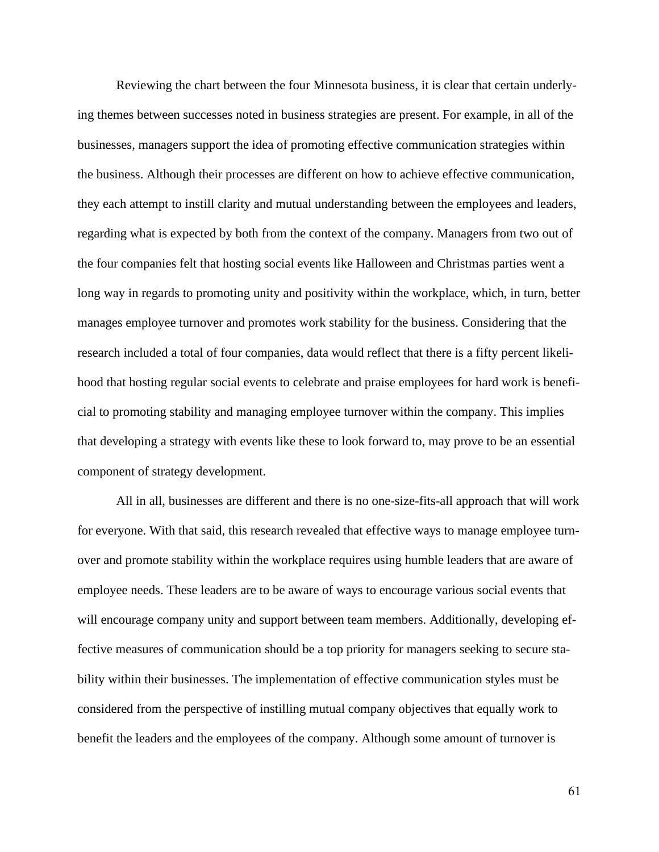Reviewing the chart between the four Minnesota business, it is clear that certain underlying themes between successes noted in business strategies are present. For example, in all of the businesses, managers support the idea of promoting effective communication strategies within the business. Although their processes are different on how to achieve effective communication, they each attempt to instill clarity and mutual understanding between the employees and leaders, regarding what is expected by both from the context of the company. Managers from two out of the four companies felt that hosting social events like Halloween and Christmas parties went a long way in regards to promoting unity and positivity within the workplace, which, in turn, better manages employee turnover and promotes work stability for the business. Considering that the research included a total of four companies, data would reflect that there is a fifty percent likelihood that hosting regular social events to celebrate and praise employees for hard work is beneficial to promoting stability and managing employee turnover within the company. This implies that developing a strategy with events like these to look forward to, may prove to be an essential component of strategy development.

All in all, businesses are different and there is no one-size-fits-all approach that will work for everyone. With that said, this research revealed that effective ways to manage employee turnover and promote stability within the workplace requires using humble leaders that are aware of employee needs. These leaders are to be aware of ways to encourage various social events that will encourage company unity and support between team members. Additionally, developing effective measures of communication should be a top priority for managers seeking to secure stability within their businesses. The implementation of effective communication styles must be considered from the perspective of instilling mutual company objectives that equally work to benefit the leaders and the employees of the company. Although some amount of turnover is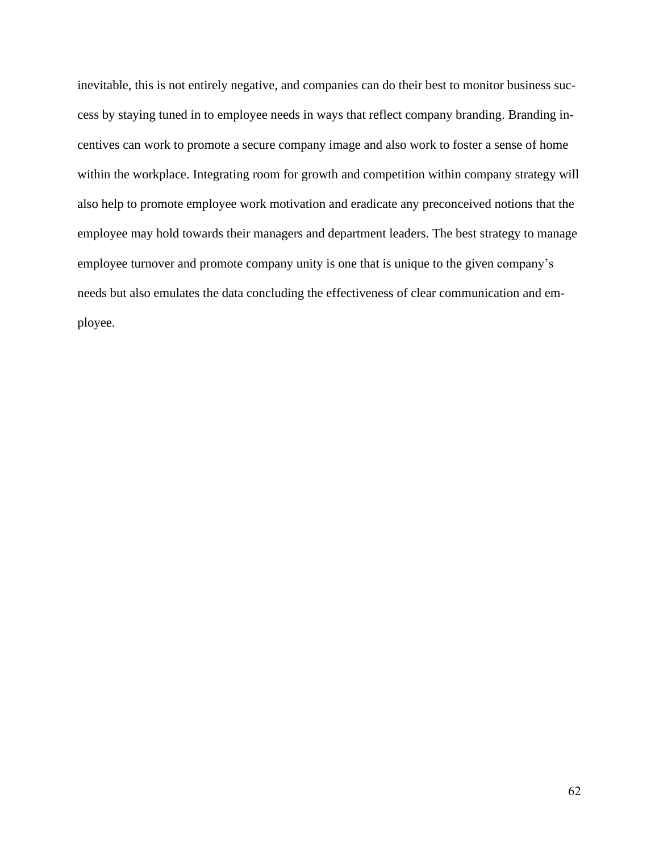inevitable, this is not entirely negative, and companies can do their best to monitor business success by staying tuned in to employee needs in ways that reflect company branding. Branding incentives can work to promote a secure company image and also work to foster a sense of home within the workplace. Integrating room for growth and competition within company strategy will also help to promote employee work motivation and eradicate any preconceived notions that the employee may hold towards their managers and department leaders. The best strategy to manage employee turnover and promote company unity is one that is unique to the given company's needs but also emulates the data concluding the effectiveness of clear communication and employee.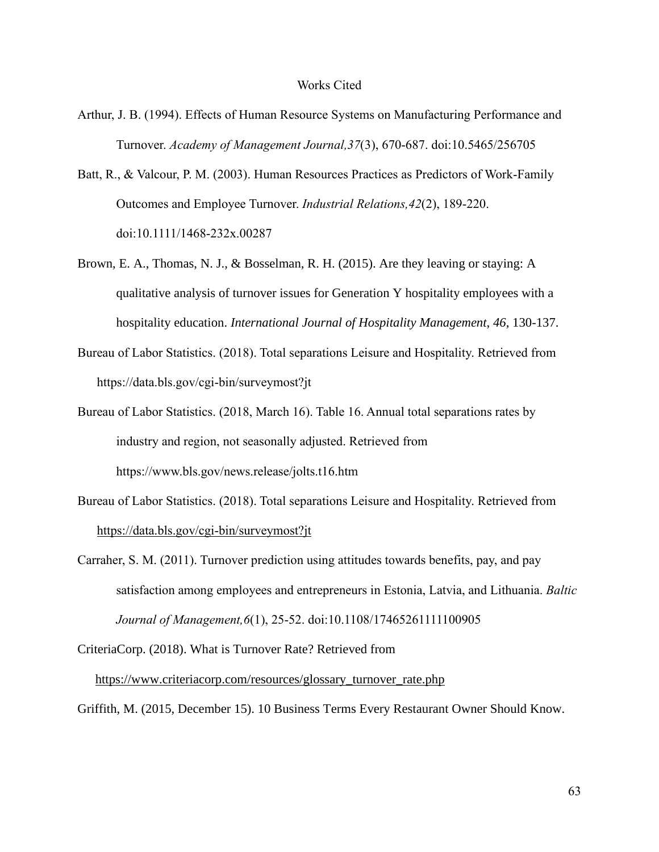- Arthur, J. B. (1994). Effects of Human Resource Systems on Manufacturing Performance and Turnover. *Academy of Management Journal,37*(3), 670-687. doi:10.5465/256705
- Batt, R., & Valcour, P. M. (2003). Human Resources Practices as Predictors of Work-Family Outcomes and Employee Turnover. *Industrial Relations,42*(2), 189-220. doi:10.1111/1468-232x.00287
- Brown, E. A., Thomas, N. J., & Bosselman, R. H. (2015). Are they leaving or staying: A qualitative analysis of turnover issues for Generation Y hospitality employees with a hospitality education. *International Journal of Hospitality Management*, *46*, 130-137.
- Bureau of Labor Statistics. (2018). Total separations Leisure and Hospitality. Retrieved from https://data.bls.gov/cgi-bin/surveymost?jt
- Bureau of Labor Statistics. (2018, March 16). Table 16. Annual total separations rates by industry and region, not seasonally adjusted. Retrieved from https://www.bls.gov/news.release/jolts.t16.htm
- Bureau of Labor Statistics. (2018). Total separations Leisure and Hospitality. Retrieved from <https://data.bls.gov/cgi-bin/surveymost?jt>
- Carraher, S. M. (2011). Turnover prediction using attitudes towards benefits, pay, and pay satisfaction among employees and entrepreneurs in Estonia, Latvia, and Lithuania. *Baltic Journal of Management,6*(1), 25-52. doi:10.1108/17465261111100905
- CriteriaCorp. (2018). What is Turnover Rate? Retrieved from

[https://www.criteriacorp.com/resources/glossary\\_turnover\\_rate.php](https://www.criteriacorp.com/resources/glossary_turnover_rate.php)

Griffith, M. (2015, December 15). 10 Business Terms Every Restaurant Owner Should Know.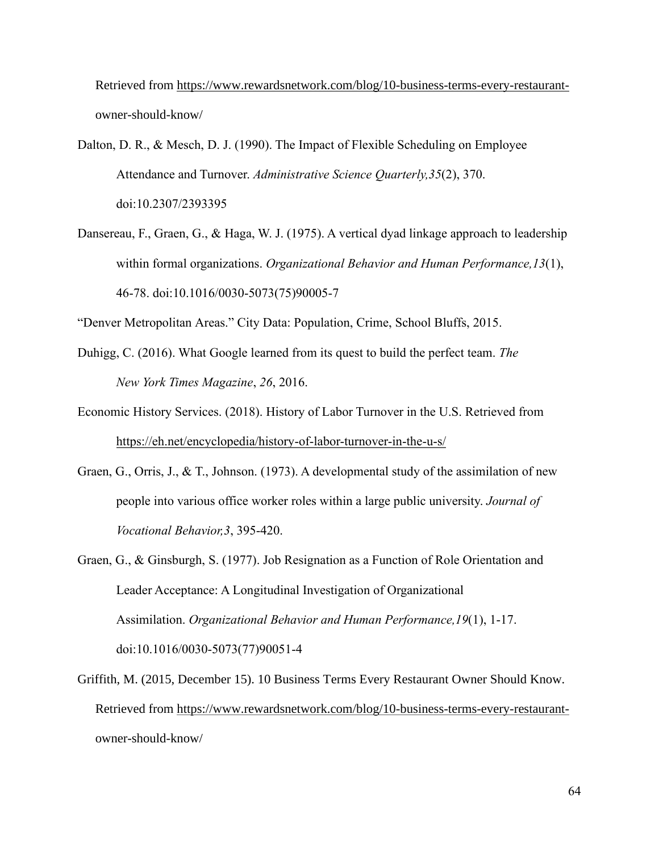Retrieved from [https://www.rewardsnetwork.com/blog/10-business-terms-every-restaurant](https://www.rewardsnetwork.com/blog/10-business-terms-every-restaurant-)owner-should-know/

- Dalton, D. R., & Mesch, D. J. (1990). The Impact of Flexible Scheduling on Employee Attendance and Turnover. *Administrative Science Quarterly,35*(2), 370. doi:10.2307/2393395
- Dansereau, F., Graen, G., & Haga, W. J. (1975). A vertical dyad linkage approach to leadership within formal organizations. *Organizational Behavior and Human Performance,13*(1), 46-78. doi:10.1016/0030-5073(75)90005-7

"Denver Metropolitan Areas." City Data: Population, Crime, School Bluffs, 2015.

- Duhigg, C. (2016). What Google learned from its quest to build the perfect team. *The New York Times Magazine*, *26*, 2016.
- Economic History Services. (2018). History of Labor Turnover in the U.S. Retrieved from <https://eh.net/encyclopedia/history-of-labor-turnover-in-the-u-s/>
- Graen, G., Orris, J., & T., Johnson. (1973). A developmental study of the assimilation of new people into various office worker roles within a large public university. *Journal of Vocational Behavior,3*, 395-420.
- Graen, G., & Ginsburgh, S. (1977). Job Resignation as a Function of Role Orientation and Leader Acceptance: A Longitudinal Investigation of Organizational Assimilation. *Organizational Behavior and Human Performance,19*(1), 1-17. doi:10.1016/0030-5073(77)90051-4
- Griffith, M. (2015, December 15). 10 Business Terms Every Restaurant Owner Should Know. Retrieved from [https://www.rewardsnetwork.com/blog/10-business-terms-every-restaurant](https://www.rewardsnetwork.com/blog/10-business-terms-every-restaurant-)owner-should-know/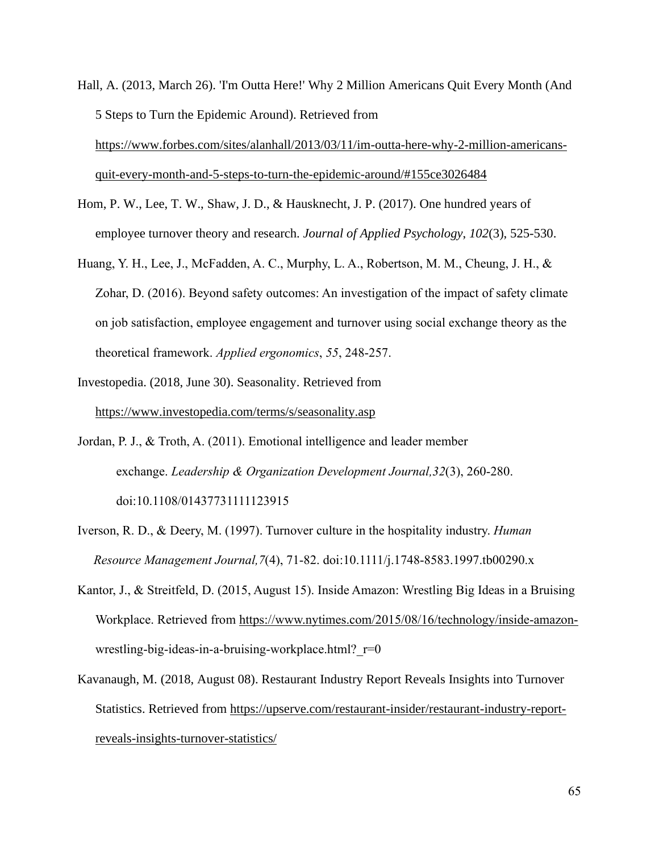- Hall, A. (2013, March 26). 'I'm Outta Here!' Why 2 Million Americans Quit Every Month (And 5 Steps to Turn the Epidemic Around). Retrieved from [https://www.forbes.com/sites/alanhall/2013/03/11/im-outta-here-why-2-million-americans](https://www.forbes.com/sites/alanhall/2013/03/11/im-outta-here-why-2-million-americans-quit-every-month-and-5-steps-to-turn-the-epidemic-around/%2523155ce3026484)[quit-every-month-and-5-steps-to-turn-the-epidemic-around/#155ce3026484](https://www.forbes.com/sites/alanhall/2013/03/11/im-outta-here-why-2-million-americans-quit-every-month-and-5-steps-to-turn-the-epidemic-around/%2523155ce3026484)
- Hom, P. W., Lee, T. W., Shaw, J. D., & Hausknecht, J. P. (2017). One hundred years of employee turnover theory and research. *Journal of Applied Psychology*, *102*(3), 525-530.
- Huang, Y. H., Lee, J., McFadden, A. C., Murphy, L. A., Robertson, M. M., Cheung, J. H., & Zohar, D. (2016). Beyond safety outcomes: An investigation of the impact of safety climate on job satisfaction, employee engagement and turnover using social exchange theory as the theoretical framework. *Applied ergonomics*, *55*, 248-257.
- Investopedia. (2018, June 30). Seasonality. Retrieved from <https://www.investopedia.com/terms/s/seasonality.asp>
- Jordan, P. J., & Troth, A. (2011). Emotional intelligence and leader member exchange. *Leadership & Organization Development Journal,32*(3), 260-280. doi:10.1108/01437731111123915
- Iverson, R. D., & Deery, M. (1997). Turnover culture in the hospitality industry. *Human Resource Management Journal,7*(4), 71-82. doi:10.1111/j.1748-8583.1997.tb00290.x
- Kantor, J., & Streitfeld, D. (2015, August 15). Inside Amazon: Wrestling Big Ideas in a Bruising Workplace. Retrieved from [https://www.nytimes.com/2015/08/16/technology/inside-amazon](https://www.nytimes.com/2015/08/16/technology/inside-amazon-)wrestling-big-ideas-in-a-bruising-workplace.html?  $r=0$
- Kavanaugh, M. (2018, August 08). Restaurant Industry Report Reveals Insights into Turnover Statistics. Retrieved from [https://upserve.com/restaurant-insider/restaurant-industry-report](https://upserve.com/restaurant-insider/restaurant-industry-report-reveals-insights-turnover-statistics/)[reveals-insights-turnover-statistics/](https://upserve.com/restaurant-insider/restaurant-industry-report-reveals-insights-turnover-statistics/)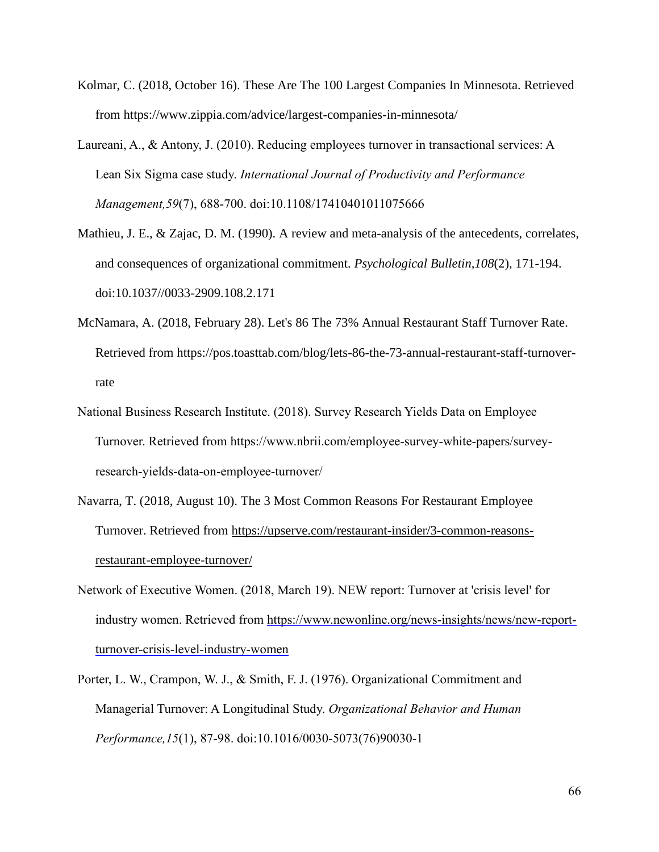- Kolmar, C. (2018, October 16). These Are The 100 Largest Companies In Minnesota. Retrieved from https://www.zippia.com/advice/largest-companies-in-minnesota/
- Laureani, A., & Antony, J. (2010). Reducing employees turnover in transactional services: A Lean Six Sigma case study. *International Journal of Productivity and Performance Management,59*(7), 688-700. doi:10.1108/17410401011075666
- Mathieu, J. E., & Zajac, D. M. (1990). A review and meta-analysis of the antecedents, correlates, and consequences of organizational commitment. *Psychological Bulletin,108*(2), 171-194. doi:10.1037//0033-2909.108.2.171
- McNamara, A. (2018, February 28). Let's 86 The 73% Annual Restaurant Staff Turnover Rate. Retrieved from https://pos.toasttab.com/blog/lets-86-the-73-annual-restaurant-staff-turnoverrate
- National Business Research Institute. (2018). Survey Research Yields Data on Employee Turnover. Retrieved from https://www.nbrii.com/employee-survey-white-papers/surveyresearch-yields-data-on-employee-turnover/
- Navarra, T. (2018, August 10). The 3 Most Common Reasons For Restaurant Employee Turnover. Retrieved from [https://upserve.com/restaurant-insider/3-common-reasons](https://upserve.com/restaurant-insider/3-common-reasons-restaurant-employee-turnover/)[restaurant-employee-turnover/](https://upserve.com/restaurant-insider/3-common-reasons-restaurant-employee-turnover/)
- Network of Executive Women. (2018, March 19). NEW report: Turnover at 'crisis level' for industry women. Retrieved from [https://www.newonline.org/news-insights/news/new-report](https://www.newonline.org/news-insights/news/new-report-turnover-crisis-level-industry-women)[turnover-crisis-level-industry-women](https://www.newonline.org/news-insights/news/new-report-turnover-crisis-level-industry-women)
- Porter, L. W., Crampon, W. J., & Smith, F. J. (1976). Organizational Commitment and Managerial Turnover: A Longitudinal Study. *Organizational Behavior and Human Performance,15*(1), 87-98. doi:10.1016/0030-5073(76)90030-1